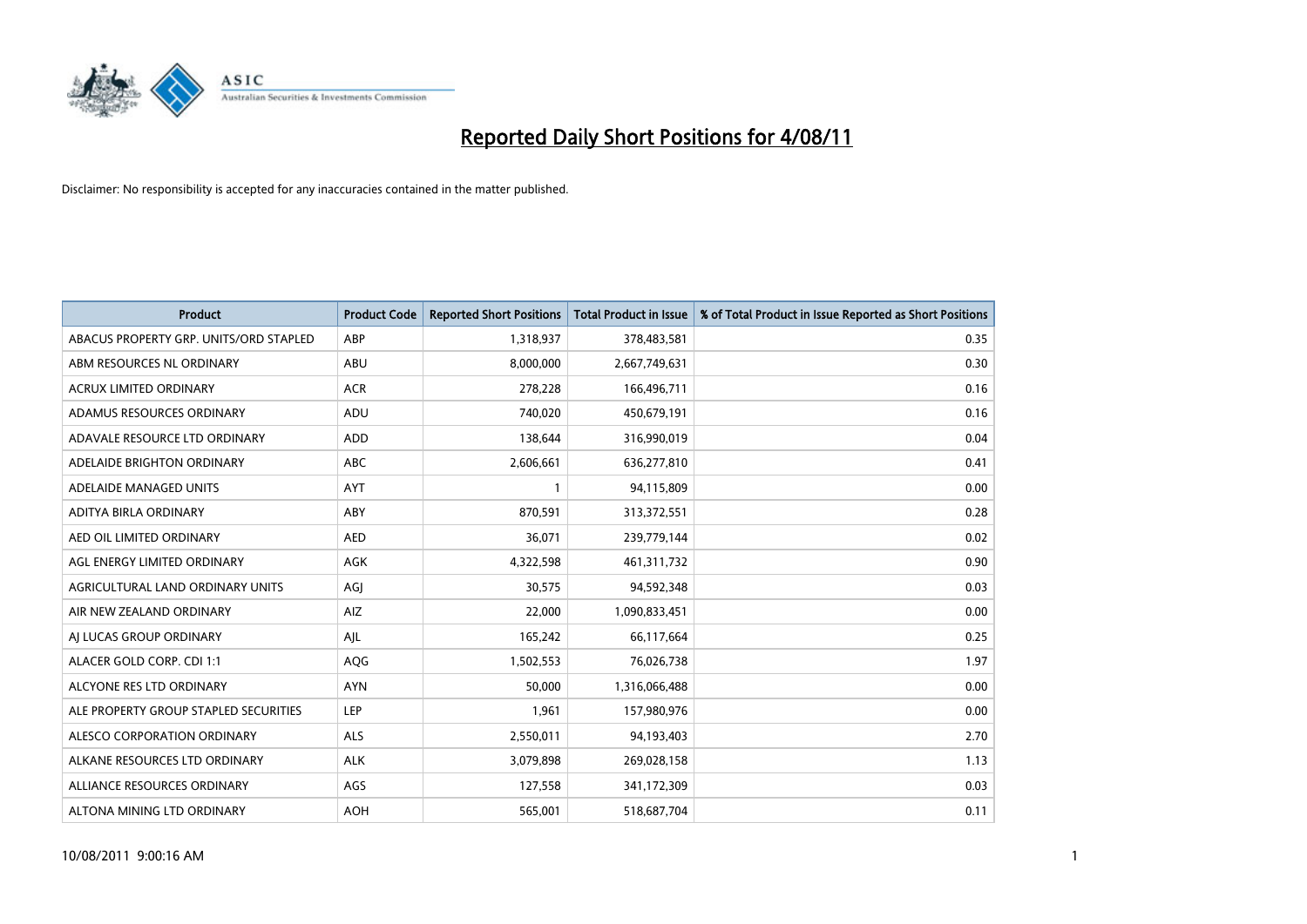

| <b>Product</b>                         | <b>Product Code</b> | <b>Reported Short Positions</b> | <b>Total Product in Issue</b> | % of Total Product in Issue Reported as Short Positions |
|----------------------------------------|---------------------|---------------------------------|-------------------------------|---------------------------------------------------------|
| ABACUS PROPERTY GRP. UNITS/ORD STAPLED | ABP                 | 1,318,937                       | 378,483,581                   | 0.35                                                    |
| ABM RESOURCES NL ORDINARY              | ABU                 | 8,000,000                       | 2,667,749,631                 | 0.30                                                    |
| <b>ACRUX LIMITED ORDINARY</b>          | <b>ACR</b>          | 278,228                         | 166,496,711                   | 0.16                                                    |
| ADAMUS RESOURCES ORDINARY              | ADU                 | 740,020                         | 450,679,191                   | 0.16                                                    |
| ADAVALE RESOURCE LTD ORDINARY          | <b>ADD</b>          | 138,644                         | 316,990,019                   | 0.04                                                    |
| ADELAIDE BRIGHTON ORDINARY             | <b>ABC</b>          | 2,606,661                       | 636,277,810                   | 0.41                                                    |
| ADELAIDE MANAGED UNITS                 | <b>AYT</b>          |                                 | 94,115,809                    | 0.00                                                    |
| ADITYA BIRLA ORDINARY                  | ABY                 | 870,591                         | 313,372,551                   | 0.28                                                    |
| AED OIL LIMITED ORDINARY               | <b>AED</b>          | 36,071                          | 239,779,144                   | 0.02                                                    |
| AGL ENERGY LIMITED ORDINARY            | <b>AGK</b>          | 4,322,598                       | 461,311,732                   | 0.90                                                    |
| AGRICULTURAL LAND ORDINARY UNITS       | AGJ                 | 30,575                          | 94,592,348                    | 0.03                                                    |
| AIR NEW ZEALAND ORDINARY               | AIZ                 | 22,000                          | 1,090,833,451                 | 0.00                                                    |
| AI LUCAS GROUP ORDINARY                | AJL                 | 165,242                         | 66,117,664                    | 0.25                                                    |
| ALACER GOLD CORP. CDI 1:1              | AQG                 | 1,502,553                       | 76,026,738                    | 1.97                                                    |
| ALCYONE RES LTD ORDINARY               | <b>AYN</b>          | 50,000                          | 1,316,066,488                 | 0.00                                                    |
| ALE PROPERTY GROUP STAPLED SECURITIES  | <b>LEP</b>          | 1,961                           | 157,980,976                   | 0.00                                                    |
| ALESCO CORPORATION ORDINARY            | <b>ALS</b>          | 2,550,011                       | 94,193,403                    | 2.70                                                    |
| ALKANE RESOURCES LTD ORDINARY          | <b>ALK</b>          | 3,079,898                       | 269,028,158                   | 1.13                                                    |
| ALLIANCE RESOURCES ORDINARY            | AGS                 | 127,558                         | 341,172,309                   | 0.03                                                    |
| ALTONA MINING LTD ORDINARY             | <b>AOH</b>          | 565,001                         | 518,687,704                   | 0.11                                                    |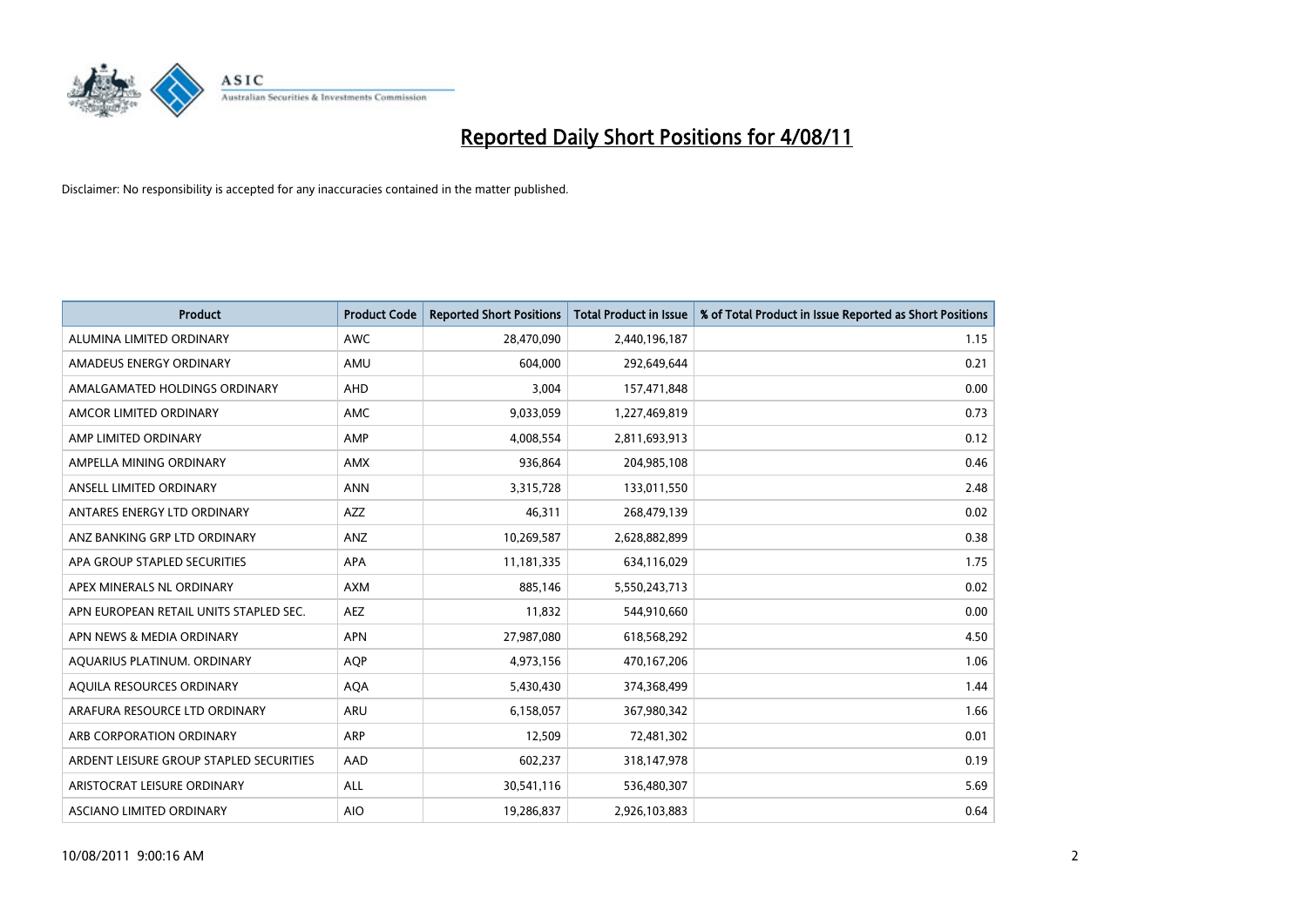

| <b>Product</b>                          | <b>Product Code</b> | <b>Reported Short Positions</b> | <b>Total Product in Issue</b> | % of Total Product in Issue Reported as Short Positions |
|-----------------------------------------|---------------------|---------------------------------|-------------------------------|---------------------------------------------------------|
| ALUMINA LIMITED ORDINARY                | <b>AWC</b>          | 28,470,090                      | 2,440,196,187                 | 1.15                                                    |
| AMADEUS ENERGY ORDINARY                 | AMU                 | 604,000                         | 292,649,644                   | 0.21                                                    |
| AMALGAMATED HOLDINGS ORDINARY           | <b>AHD</b>          | 3,004                           | 157,471,848                   | 0.00                                                    |
| AMCOR LIMITED ORDINARY                  | <b>AMC</b>          | 9,033,059                       | 1,227,469,819                 | 0.73                                                    |
| AMP LIMITED ORDINARY                    | AMP                 | 4,008,554                       | 2,811,693,913                 | 0.12                                                    |
| AMPELLA MINING ORDINARY                 | <b>AMX</b>          | 936,864                         | 204,985,108                   | 0.46                                                    |
| ANSELL LIMITED ORDINARY                 | <b>ANN</b>          | 3,315,728                       | 133,011,550                   | 2.48                                                    |
| ANTARES ENERGY LTD ORDINARY             | <b>AZZ</b>          | 46,311                          | 268,479,139                   | 0.02                                                    |
| ANZ BANKING GRP LTD ORDINARY            | ANZ                 | 10,269,587                      | 2,628,882,899                 | 0.38                                                    |
| APA GROUP STAPLED SECURITIES            | <b>APA</b>          | 11,181,335                      | 634,116,029                   | 1.75                                                    |
| APEX MINERALS NL ORDINARY               | <b>AXM</b>          | 885,146                         | 5,550,243,713                 | 0.02                                                    |
| APN EUROPEAN RETAIL UNITS STAPLED SEC.  | <b>AEZ</b>          | 11,832                          | 544,910,660                   | 0.00                                                    |
| APN NEWS & MEDIA ORDINARY               | <b>APN</b>          | 27,987,080                      | 618,568,292                   | 4.50                                                    |
| AQUARIUS PLATINUM. ORDINARY             | <b>AOP</b>          | 4,973,156                       | 470,167,206                   | 1.06                                                    |
| AQUILA RESOURCES ORDINARY               | <b>AQA</b>          | 5,430,430                       | 374,368,499                   | 1.44                                                    |
| ARAFURA RESOURCE LTD ORDINARY           | ARU                 | 6,158,057                       | 367,980,342                   | 1.66                                                    |
| ARB CORPORATION ORDINARY                | ARP                 | 12,509                          | 72,481,302                    | 0.01                                                    |
| ARDENT LEISURE GROUP STAPLED SECURITIES | AAD                 | 602,237                         | 318,147,978                   | 0.19                                                    |
| ARISTOCRAT LEISURE ORDINARY             | <b>ALL</b>          | 30,541,116                      | 536,480,307                   | 5.69                                                    |
| ASCIANO LIMITED ORDINARY                | <b>AIO</b>          | 19,286,837                      | 2,926,103,883                 | 0.64                                                    |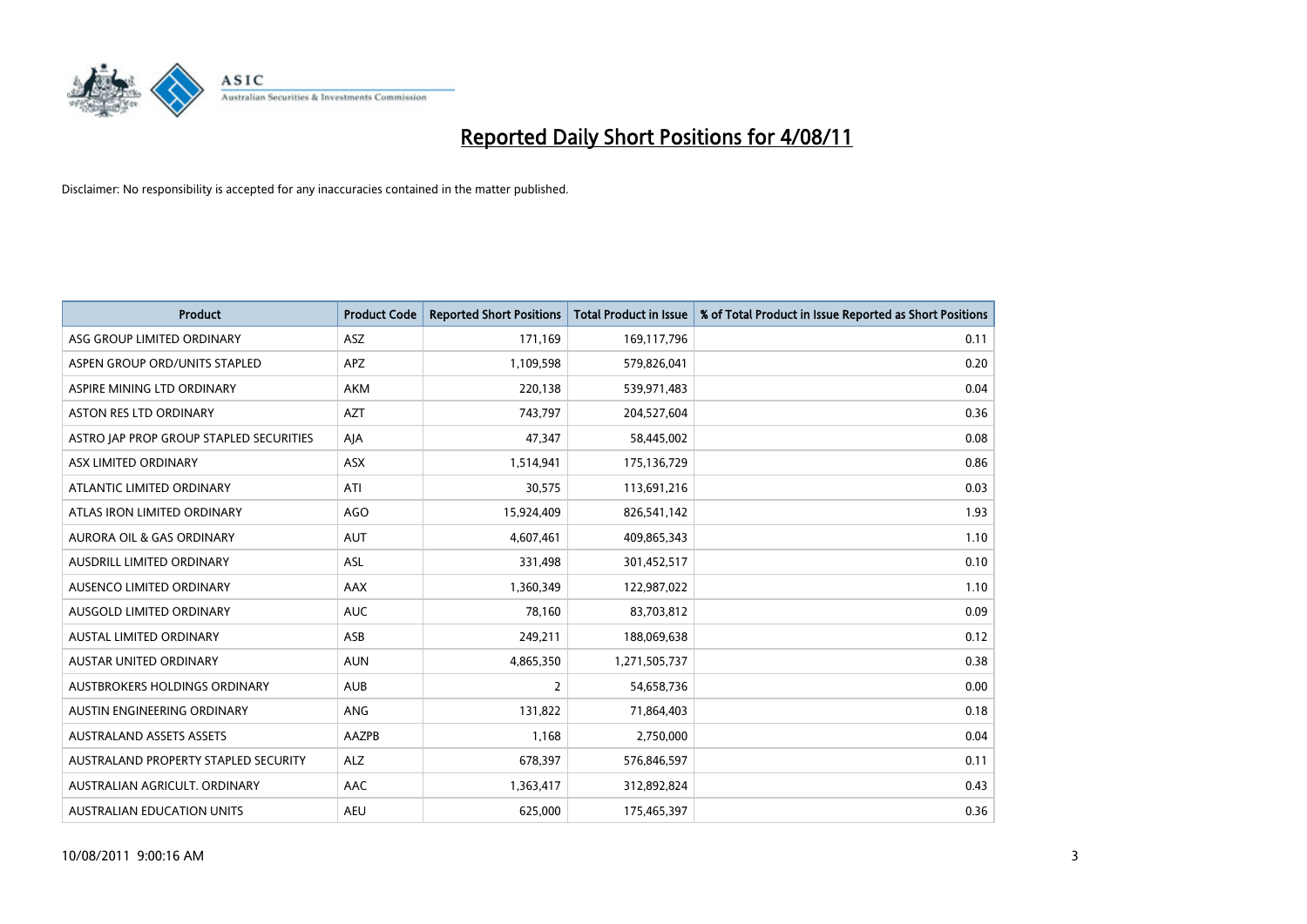

| <b>Product</b>                          | <b>Product Code</b> | <b>Reported Short Positions</b> | Total Product in Issue | % of Total Product in Issue Reported as Short Positions |
|-----------------------------------------|---------------------|---------------------------------|------------------------|---------------------------------------------------------|
| ASG GROUP LIMITED ORDINARY              | <b>ASZ</b>          | 171,169                         | 169,117,796            | 0.11                                                    |
| ASPEN GROUP ORD/UNITS STAPLED           | <b>APZ</b>          | 1,109,598                       | 579,826,041            | 0.20                                                    |
| ASPIRE MINING LTD ORDINARY              | <b>AKM</b>          | 220,138                         | 539,971,483            | 0.04                                                    |
| ASTON RES LTD ORDINARY                  | <b>AZT</b>          | 743,797                         | 204,527,604            | 0.36                                                    |
| ASTRO JAP PROP GROUP STAPLED SECURITIES | AJA                 | 47,347                          | 58,445,002             | 0.08                                                    |
| ASX LIMITED ORDINARY                    | ASX                 | 1,514,941                       | 175,136,729            | 0.86                                                    |
| ATLANTIC LIMITED ORDINARY               | ATI                 | 30,575                          | 113,691,216            | 0.03                                                    |
| ATLAS IRON LIMITED ORDINARY             | <b>AGO</b>          | 15,924,409                      | 826,541,142            | 1.93                                                    |
| AURORA OIL & GAS ORDINARY               | <b>AUT</b>          | 4,607,461                       | 409,865,343            | 1.10                                                    |
| AUSDRILL LIMITED ORDINARY               | <b>ASL</b>          | 331,498                         | 301,452,517            | 0.10                                                    |
| AUSENCO LIMITED ORDINARY                | <b>AAX</b>          | 1,360,349                       | 122,987,022            | 1.10                                                    |
| AUSGOLD LIMITED ORDINARY                | <b>AUC</b>          | 78,160                          | 83,703,812             | 0.09                                                    |
| AUSTAL LIMITED ORDINARY                 | ASB                 | 249,211                         | 188,069,638            | 0.12                                                    |
| <b>AUSTAR UNITED ORDINARY</b>           | <b>AUN</b>          | 4,865,350                       | 1,271,505,737          | 0.38                                                    |
| <b>AUSTBROKERS HOLDINGS ORDINARY</b>    | <b>AUB</b>          | 2                               | 54,658,736             | 0.00                                                    |
| AUSTIN ENGINEERING ORDINARY             | ANG                 | 131,822                         | 71,864,403             | 0.18                                                    |
| <b>AUSTRALAND ASSETS ASSETS</b>         | AAZPB               | 1,168                           | 2,750,000              | 0.04                                                    |
| AUSTRALAND PROPERTY STAPLED SECURITY    | <b>ALZ</b>          | 678,397                         | 576,846,597            | 0.11                                                    |
| AUSTRALIAN AGRICULT, ORDINARY           | AAC                 | 1,363,417                       | 312,892,824            | 0.43                                                    |
| AUSTRALIAN EDUCATION UNITS              | <b>AEU</b>          | 625.000                         | 175,465,397            | 0.36                                                    |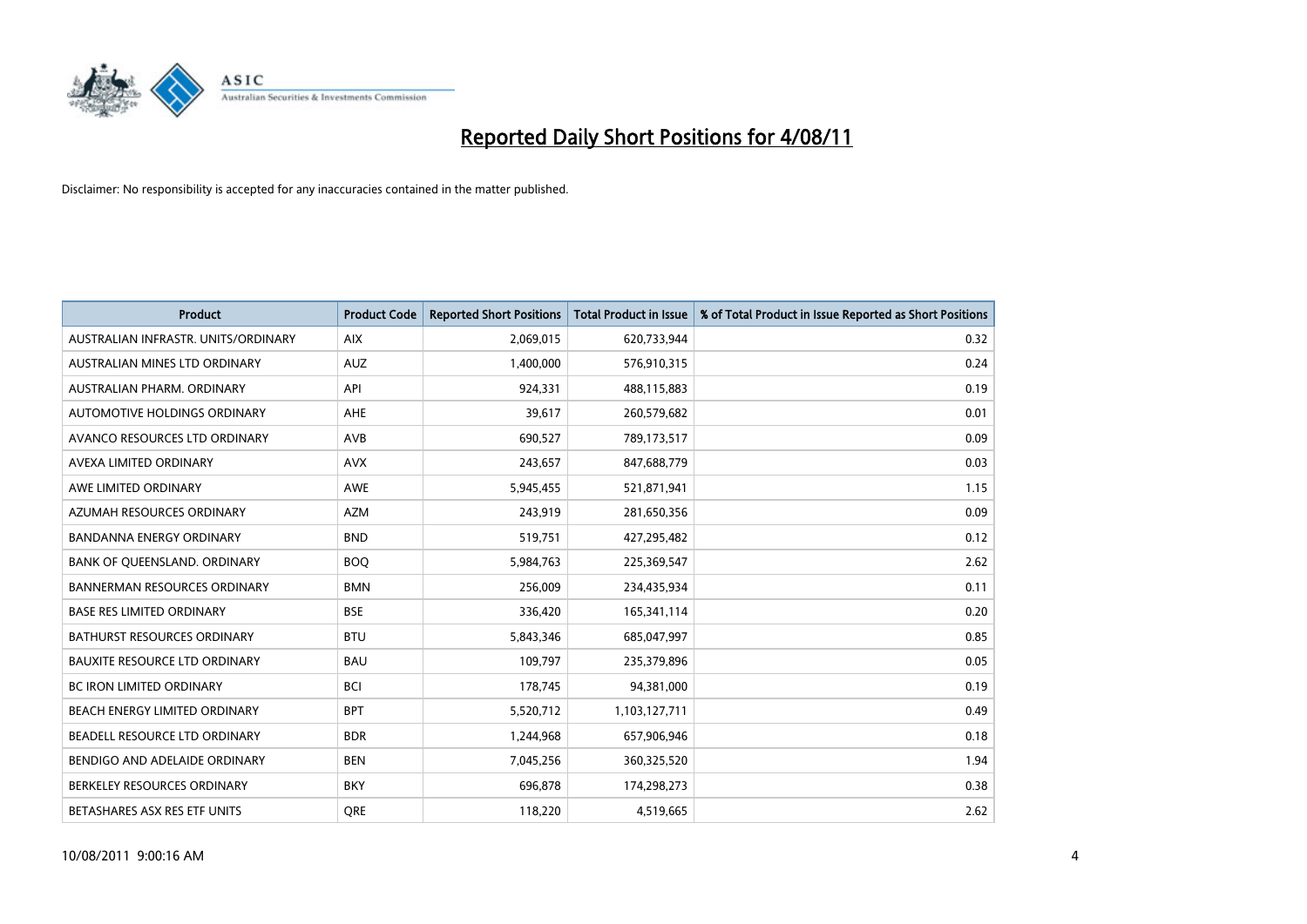

| <b>Product</b>                       | <b>Product Code</b> | <b>Reported Short Positions</b> | <b>Total Product in Issue</b> | % of Total Product in Issue Reported as Short Positions |
|--------------------------------------|---------------------|---------------------------------|-------------------------------|---------------------------------------------------------|
| AUSTRALIAN INFRASTR, UNITS/ORDINARY  | <b>AIX</b>          | 2,069,015                       | 620,733,944                   | 0.32                                                    |
| AUSTRALIAN MINES LTD ORDINARY        | <b>AUZ</b>          | 1,400,000                       | 576,910,315                   | 0.24                                                    |
| AUSTRALIAN PHARM, ORDINARY           | API                 | 924,331                         | 488,115,883                   | 0.19                                                    |
| AUTOMOTIVE HOLDINGS ORDINARY         | <b>AHE</b>          | 39,617                          | 260,579,682                   | 0.01                                                    |
| AVANCO RESOURCES LTD ORDINARY        | <b>AVB</b>          | 690,527                         | 789,173,517                   | 0.09                                                    |
| AVEXA LIMITED ORDINARY               | <b>AVX</b>          | 243,657                         | 847,688,779                   | 0.03                                                    |
| AWE LIMITED ORDINARY                 | <b>AWE</b>          | 5,945,455                       | 521,871,941                   | 1.15                                                    |
| AZUMAH RESOURCES ORDINARY            | <b>AZM</b>          | 243,919                         | 281,650,356                   | 0.09                                                    |
| BANDANNA ENERGY ORDINARY             | <b>BND</b>          | 519,751                         | 427,295,482                   | 0.12                                                    |
| BANK OF QUEENSLAND. ORDINARY         | <b>BOQ</b>          | 5,984,763                       | 225,369,547                   | 2.62                                                    |
| <b>BANNERMAN RESOURCES ORDINARY</b>  | <b>BMN</b>          | 256,009                         | 234,435,934                   | 0.11                                                    |
| <b>BASE RES LIMITED ORDINARY</b>     | <b>BSE</b>          | 336,420                         | 165,341,114                   | 0.20                                                    |
| <b>BATHURST RESOURCES ORDINARY</b>   | <b>BTU</b>          | 5,843,346                       | 685,047,997                   | 0.85                                                    |
| <b>BAUXITE RESOURCE LTD ORDINARY</b> | <b>BAU</b>          | 109,797                         | 235,379,896                   | 0.05                                                    |
| <b>BC IRON LIMITED ORDINARY</b>      | <b>BCI</b>          | 178,745                         | 94,381,000                    | 0.19                                                    |
| BEACH ENERGY LIMITED ORDINARY        | <b>BPT</b>          | 5,520,712                       | 1,103,127,711                 | 0.49                                                    |
| BEADELL RESOURCE LTD ORDINARY        | <b>BDR</b>          | 1,244,968                       | 657,906,946                   | 0.18                                                    |
| BENDIGO AND ADELAIDE ORDINARY        | <b>BEN</b>          | 7,045,256                       | 360,325,520                   | 1.94                                                    |
| BERKELEY RESOURCES ORDINARY          | <b>BKY</b>          | 696,878                         | 174,298,273                   | 0.38                                                    |
| BETASHARES ASX RES ETF UNITS         | <b>ORE</b>          | 118,220                         | 4,519,665                     | 2.62                                                    |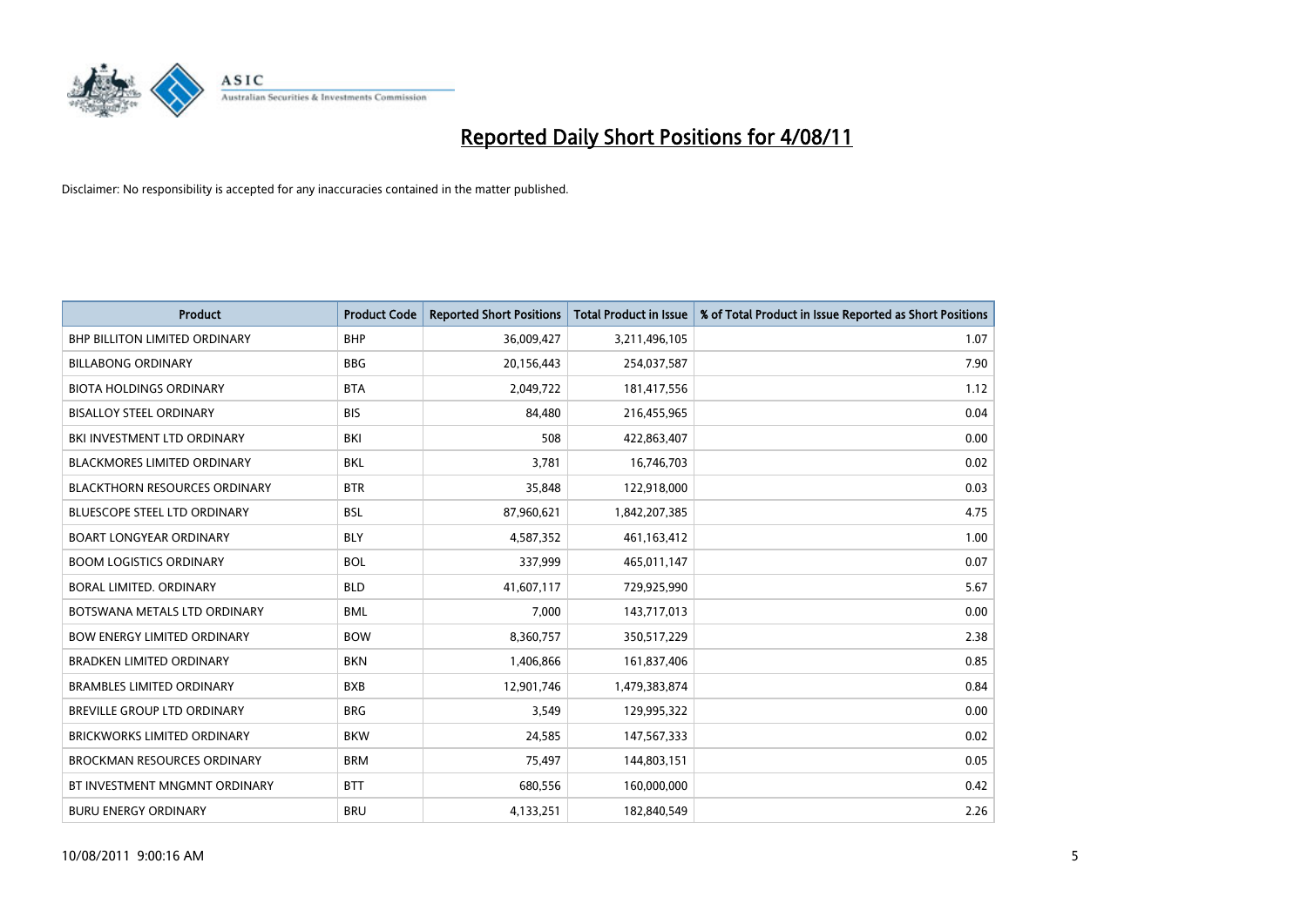

| <b>Product</b>                       | <b>Product Code</b> | <b>Reported Short Positions</b> | <b>Total Product in Issue</b> | % of Total Product in Issue Reported as Short Positions |
|--------------------------------------|---------------------|---------------------------------|-------------------------------|---------------------------------------------------------|
| <b>BHP BILLITON LIMITED ORDINARY</b> | <b>BHP</b>          | 36,009,427                      | 3,211,496,105                 | 1.07                                                    |
| <b>BILLABONG ORDINARY</b>            | <b>BBG</b>          | 20,156,443                      | 254,037,587                   | 7.90                                                    |
| <b>BIOTA HOLDINGS ORDINARY</b>       | <b>BTA</b>          | 2,049,722                       | 181,417,556                   | 1.12                                                    |
| <b>BISALLOY STEEL ORDINARY</b>       | <b>BIS</b>          | 84,480                          | 216,455,965                   | 0.04                                                    |
| BKI INVESTMENT LTD ORDINARY          | <b>BKI</b>          | 508                             | 422,863,407                   | 0.00                                                    |
| <b>BLACKMORES LIMITED ORDINARY</b>   | <b>BKL</b>          | 3,781                           | 16,746,703                    | 0.02                                                    |
| <b>BLACKTHORN RESOURCES ORDINARY</b> | <b>BTR</b>          | 35,848                          | 122,918,000                   | 0.03                                                    |
| <b>BLUESCOPE STEEL LTD ORDINARY</b>  | <b>BSL</b>          | 87,960,621                      | 1,842,207,385                 | 4.75                                                    |
| <b>BOART LONGYEAR ORDINARY</b>       | <b>BLY</b>          | 4,587,352                       | 461,163,412                   | 1.00                                                    |
| <b>BOOM LOGISTICS ORDINARY</b>       | <b>BOL</b>          | 337,999                         | 465,011,147                   | 0.07                                                    |
| BORAL LIMITED, ORDINARY              | <b>BLD</b>          | 41,607,117                      | 729,925,990                   | 5.67                                                    |
| BOTSWANA METALS LTD ORDINARY         | <b>BML</b>          | 7,000                           | 143,717,013                   | 0.00                                                    |
| <b>BOW ENERGY LIMITED ORDINARY</b>   | <b>BOW</b>          | 8,360,757                       | 350,517,229                   | 2.38                                                    |
| <b>BRADKEN LIMITED ORDINARY</b>      | <b>BKN</b>          | 1,406,866                       | 161,837,406                   | 0.85                                                    |
| <b>BRAMBLES LIMITED ORDINARY</b>     | <b>BXB</b>          | 12,901,746                      | 1,479,383,874                 | 0.84                                                    |
| <b>BREVILLE GROUP LTD ORDINARY</b>   | <b>BRG</b>          | 3,549                           | 129,995,322                   | 0.00                                                    |
| <b>BRICKWORKS LIMITED ORDINARY</b>   | <b>BKW</b>          | 24,585                          | 147,567,333                   | 0.02                                                    |
| <b>BROCKMAN RESOURCES ORDINARY</b>   | <b>BRM</b>          | 75,497                          | 144,803,151                   | 0.05                                                    |
| BT INVESTMENT MNGMNT ORDINARY        | <b>BTT</b>          | 680,556                         | 160,000,000                   | 0.42                                                    |
| <b>BURU ENERGY ORDINARY</b>          | <b>BRU</b>          | 4,133,251                       | 182,840,549                   | 2.26                                                    |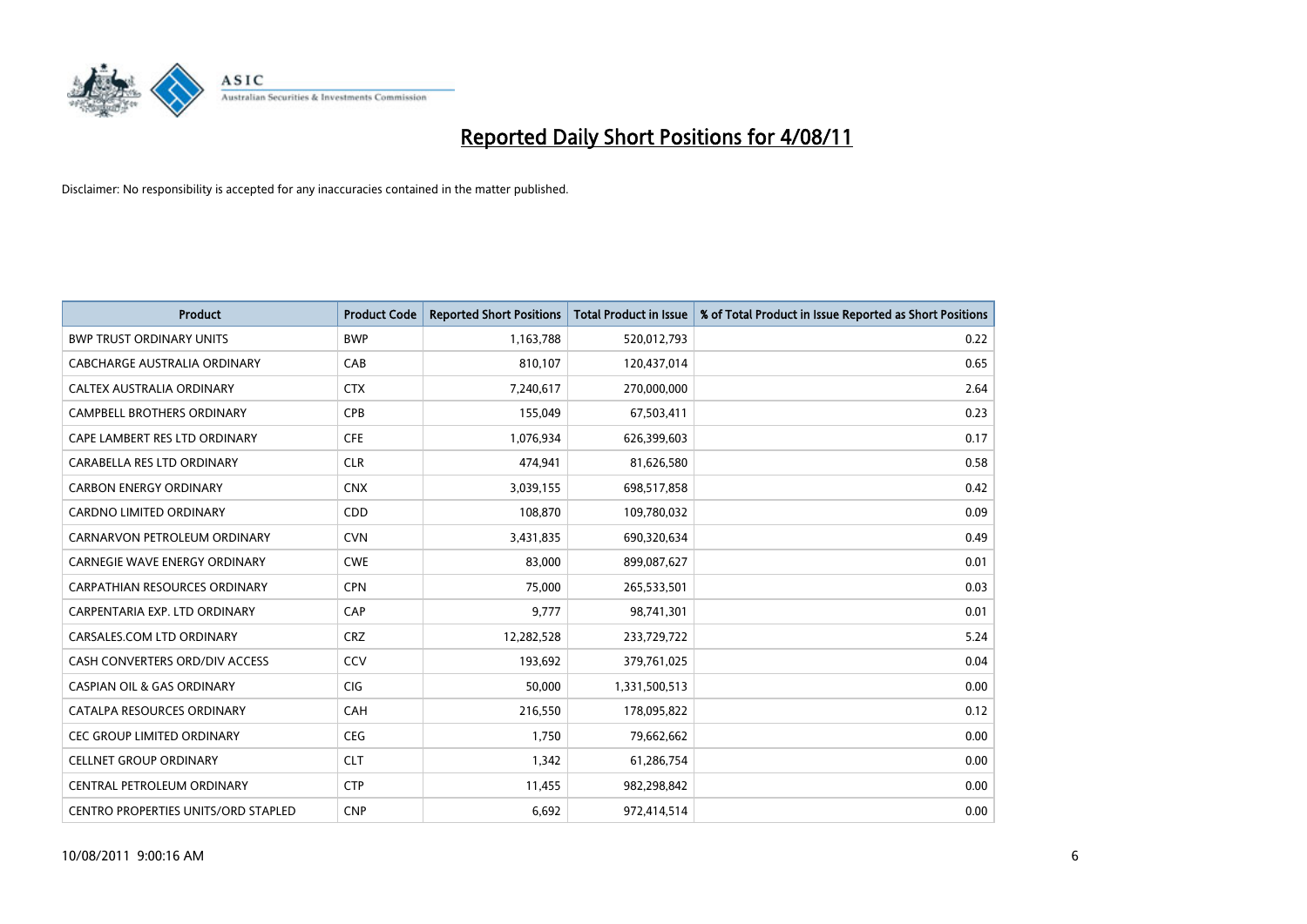

| <b>Product</b>                             | <b>Product Code</b> | <b>Reported Short Positions</b> | <b>Total Product in Issue</b> | % of Total Product in Issue Reported as Short Positions |
|--------------------------------------------|---------------------|---------------------------------|-------------------------------|---------------------------------------------------------|
| <b>BWP TRUST ORDINARY UNITS</b>            | <b>BWP</b>          | 1,163,788                       | 520,012,793                   | 0.22                                                    |
| CABCHARGE AUSTRALIA ORDINARY               | CAB                 | 810,107                         | 120,437,014                   | 0.65                                                    |
| <b>CALTEX AUSTRALIA ORDINARY</b>           | <b>CTX</b>          | 7,240,617                       | 270,000,000                   | 2.64                                                    |
| CAMPBELL BROTHERS ORDINARY                 | CPB                 | 155,049                         | 67,503,411                    | 0.23                                                    |
| CAPE LAMBERT RES LTD ORDINARY              | <b>CFE</b>          | 1,076,934                       | 626,399,603                   | 0.17                                                    |
| CARABELLA RES LTD ORDINARY                 | <b>CLR</b>          | 474,941                         | 81,626,580                    | 0.58                                                    |
| <b>CARBON ENERGY ORDINARY</b>              | <b>CNX</b>          | 3,039,155                       | 698,517,858                   | 0.42                                                    |
| <b>CARDNO LIMITED ORDINARY</b>             | <b>CDD</b>          | 108,870                         | 109,780,032                   | 0.09                                                    |
| CARNARVON PETROLEUM ORDINARY               | <b>CVN</b>          | 3,431,835                       | 690,320,634                   | 0.49                                                    |
| <b>CARNEGIE WAVE ENERGY ORDINARY</b>       | <b>CWE</b>          | 83.000                          | 899,087,627                   | 0.01                                                    |
| CARPATHIAN RESOURCES ORDINARY              | <b>CPN</b>          | 75,000                          | 265,533,501                   | 0.03                                                    |
| CARPENTARIA EXP. LTD ORDINARY              | CAP                 | 9,777                           | 98,741,301                    | 0.01                                                    |
| CARSALES.COM LTD ORDINARY                  | <b>CRZ</b>          | 12,282,528                      | 233,729,722                   | 5.24                                                    |
| CASH CONVERTERS ORD/DIV ACCESS             | CCV                 | 193,692                         | 379,761,025                   | 0.04                                                    |
| <b>CASPIAN OIL &amp; GAS ORDINARY</b>      | <b>CIG</b>          | 50,000                          | 1,331,500,513                 | 0.00                                                    |
| CATALPA RESOURCES ORDINARY                 | CAH                 | 216,550                         | 178,095,822                   | 0.12                                                    |
| <b>CEC GROUP LIMITED ORDINARY</b>          | <b>CEG</b>          | 1,750                           | 79,662,662                    | 0.00                                                    |
| <b>CELLNET GROUP ORDINARY</b>              | <b>CLT</b>          | 1,342                           | 61,286,754                    | 0.00                                                    |
| CENTRAL PETROLEUM ORDINARY                 | <b>CTP</b>          | 11,455                          | 982,298,842                   | 0.00                                                    |
| <b>CENTRO PROPERTIES UNITS/ORD STAPLED</b> | <b>CNP</b>          | 6,692                           | 972.414.514                   | 0.00                                                    |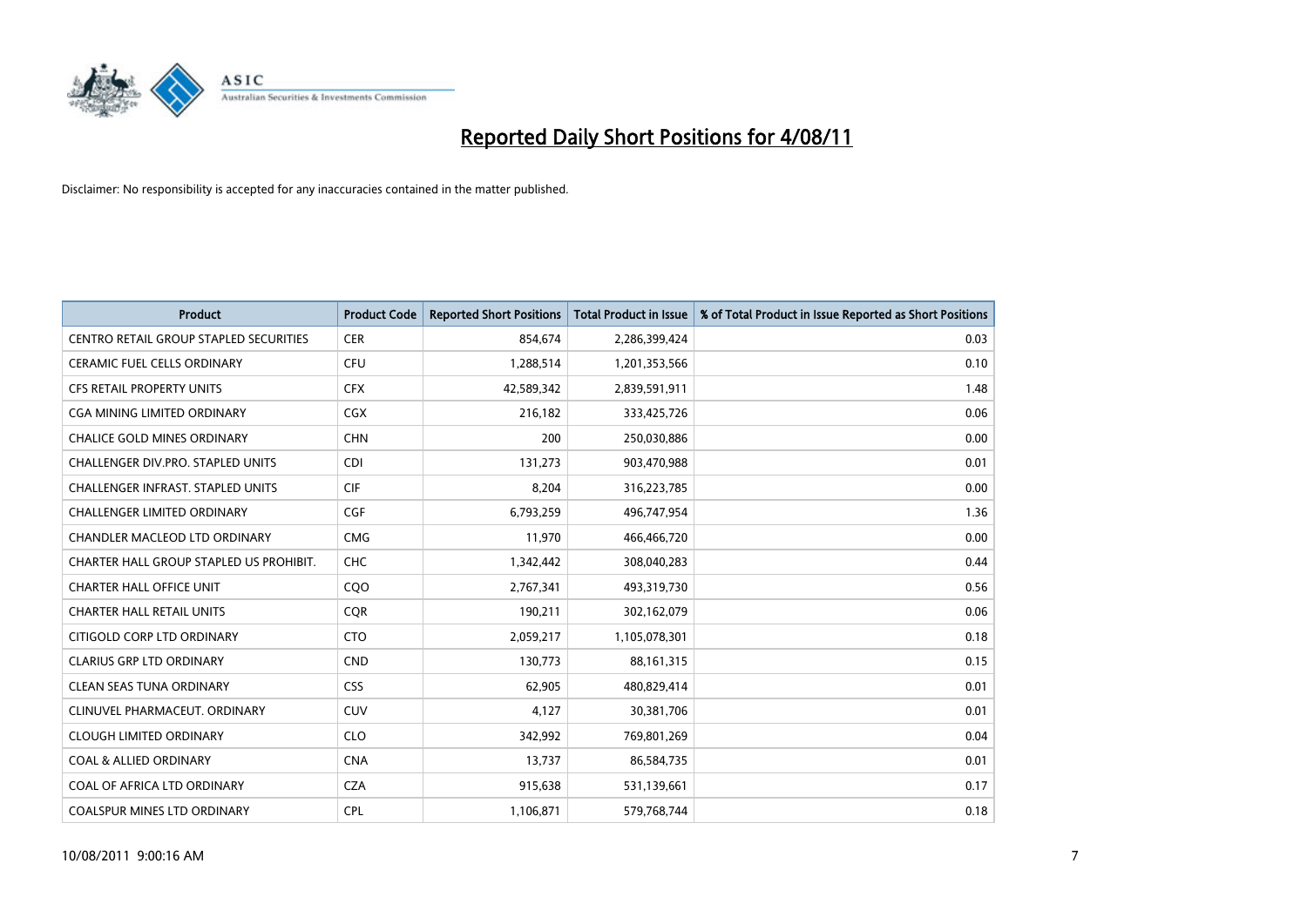

| <b>Product</b>                                | <b>Product Code</b> | <b>Reported Short Positions</b> | <b>Total Product in Issue</b> | % of Total Product in Issue Reported as Short Positions |
|-----------------------------------------------|---------------------|---------------------------------|-------------------------------|---------------------------------------------------------|
| <b>CENTRO RETAIL GROUP STAPLED SECURITIES</b> | <b>CER</b>          | 854,674                         | 2,286,399,424                 | 0.03                                                    |
| <b>CERAMIC FUEL CELLS ORDINARY</b>            | <b>CFU</b>          | 1,288,514                       | 1,201,353,566                 | 0.10                                                    |
| <b>CFS RETAIL PROPERTY UNITS</b>              | <b>CFX</b>          | 42,589,342                      | 2,839,591,911                 | 1.48                                                    |
| CGA MINING LIMITED ORDINARY                   | <b>CGX</b>          | 216,182                         | 333,425,726                   | 0.06                                                    |
| <b>CHALICE GOLD MINES ORDINARY</b>            | <b>CHN</b>          | 200                             | 250,030,886                   | 0.00                                                    |
| <b>CHALLENGER DIV.PRO. STAPLED UNITS</b>      | <b>CDI</b>          | 131,273                         | 903,470,988                   | 0.01                                                    |
| <b>CHALLENGER INFRAST, STAPLED UNITS</b>      | <b>CIF</b>          | 8,204                           | 316,223,785                   | 0.00                                                    |
| <b>CHALLENGER LIMITED ORDINARY</b>            | CGF                 | 6,793,259                       | 496,747,954                   | 1.36                                                    |
| CHANDLER MACLEOD LTD ORDINARY                 | <b>CMG</b>          | 11,970                          | 466,466,720                   | 0.00                                                    |
| CHARTER HALL GROUP STAPLED US PROHIBIT.       | <b>CHC</b>          | 1,342,442                       | 308,040,283                   | 0.44                                                    |
| <b>CHARTER HALL OFFICE UNIT</b>               | COO                 | 2,767,341                       | 493,319,730                   | 0.56                                                    |
| <b>CHARTER HALL RETAIL UNITS</b>              | <b>CQR</b>          | 190,211                         | 302,162,079                   | 0.06                                                    |
| CITIGOLD CORP LTD ORDINARY                    | <b>CTO</b>          | 2,059,217                       | 1,105,078,301                 | 0.18                                                    |
| <b>CLARIUS GRP LTD ORDINARY</b>               | <b>CND</b>          | 130.773                         | 88,161,315                    | 0.15                                                    |
| <b>CLEAN SEAS TUNA ORDINARY</b>               | <b>CSS</b>          | 62,905                          | 480,829,414                   | 0.01                                                    |
| CLINUVEL PHARMACEUT, ORDINARY                 | <b>CUV</b>          | 4,127                           | 30,381,706                    | 0.01                                                    |
| <b>CLOUGH LIMITED ORDINARY</b>                | <b>CLO</b>          | 342,992                         | 769,801,269                   | 0.04                                                    |
| <b>COAL &amp; ALLIED ORDINARY</b>             | <b>CNA</b>          | 13,737                          | 86,584,735                    | 0.01                                                    |
| COAL OF AFRICA LTD ORDINARY                   | <b>CZA</b>          | 915,638                         | 531,139,661                   | 0.17                                                    |
| <b>COALSPUR MINES LTD ORDINARY</b>            | <b>CPL</b>          | 1,106,871                       | 579,768,744                   | 0.18                                                    |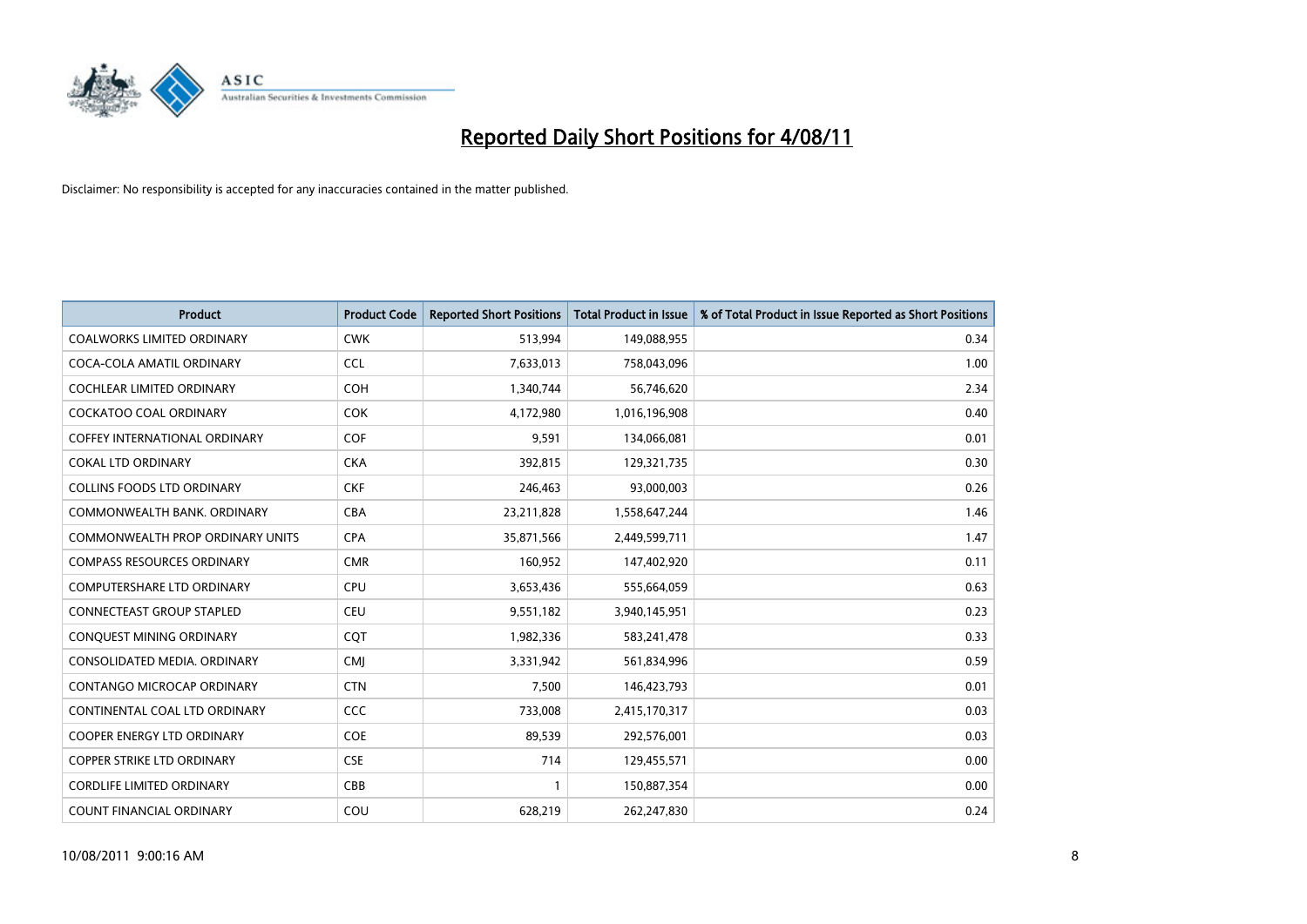

| <b>Product</b>                       | <b>Product Code</b> | <b>Reported Short Positions</b> | <b>Total Product in Issue</b> | % of Total Product in Issue Reported as Short Positions |
|--------------------------------------|---------------------|---------------------------------|-------------------------------|---------------------------------------------------------|
| <b>COALWORKS LIMITED ORDINARY</b>    | <b>CWK</b>          | 513,994                         | 149,088,955                   | 0.34                                                    |
| COCA-COLA AMATIL ORDINARY            | <b>CCL</b>          | 7,633,013                       | 758,043,096                   | 1.00                                                    |
| <b>COCHLEAR LIMITED ORDINARY</b>     | <b>COH</b>          | 1,340,744                       | 56,746,620                    | 2.34                                                    |
| COCKATOO COAL ORDINARY               | <b>COK</b>          | 4,172,980                       | 1,016,196,908                 | 0.40                                                    |
| <b>COFFEY INTERNATIONAL ORDINARY</b> | COF                 | 9,591                           | 134,066,081                   | 0.01                                                    |
| <b>COKAL LTD ORDINARY</b>            | <b>CKA</b>          | 392,815                         | 129,321,735                   | 0.30                                                    |
| <b>COLLINS FOODS LTD ORDINARY</b>    | <b>CKF</b>          | 246,463                         | 93,000,003                    | 0.26                                                    |
| COMMONWEALTH BANK, ORDINARY          | <b>CBA</b>          | 23,211,828                      | 1,558,647,244                 | 1.46                                                    |
| COMMONWEALTH PROP ORDINARY UNITS     | <b>CPA</b>          | 35,871,566                      | 2,449,599,711                 | 1.47                                                    |
| <b>COMPASS RESOURCES ORDINARY</b>    | <b>CMR</b>          | 160,952                         | 147,402,920                   | 0.11                                                    |
| COMPUTERSHARE LTD ORDINARY           | <b>CPU</b>          | 3,653,436                       | 555,664,059                   | 0.63                                                    |
| <b>CONNECTEAST GROUP STAPLED</b>     | <b>CEU</b>          | 9,551,182                       | 3,940,145,951                 | 0.23                                                    |
| CONQUEST MINING ORDINARY             | CQT                 | 1,982,336                       | 583,241,478                   | 0.33                                                    |
| CONSOLIDATED MEDIA, ORDINARY         | <b>CMI</b>          | 3,331,942                       | 561,834,996                   | 0.59                                                    |
| CONTANGO MICROCAP ORDINARY           | <b>CTN</b>          | 7,500                           | 146,423,793                   | 0.01                                                    |
| CONTINENTAL COAL LTD ORDINARY        | CCC                 | 733,008                         | 2,415,170,317                 | 0.03                                                    |
| <b>COOPER ENERGY LTD ORDINARY</b>    | <b>COE</b>          | 89,539                          | 292,576,001                   | 0.03                                                    |
| <b>COPPER STRIKE LTD ORDINARY</b>    | <b>CSE</b>          | 714                             | 129,455,571                   | 0.00                                                    |
| <b>CORDLIFE LIMITED ORDINARY</b>     | CBB                 |                                 | 150,887,354                   | 0.00                                                    |
| <b>COUNT FINANCIAL ORDINARY</b>      | COU                 | 628,219                         | 262,247,830                   | 0.24                                                    |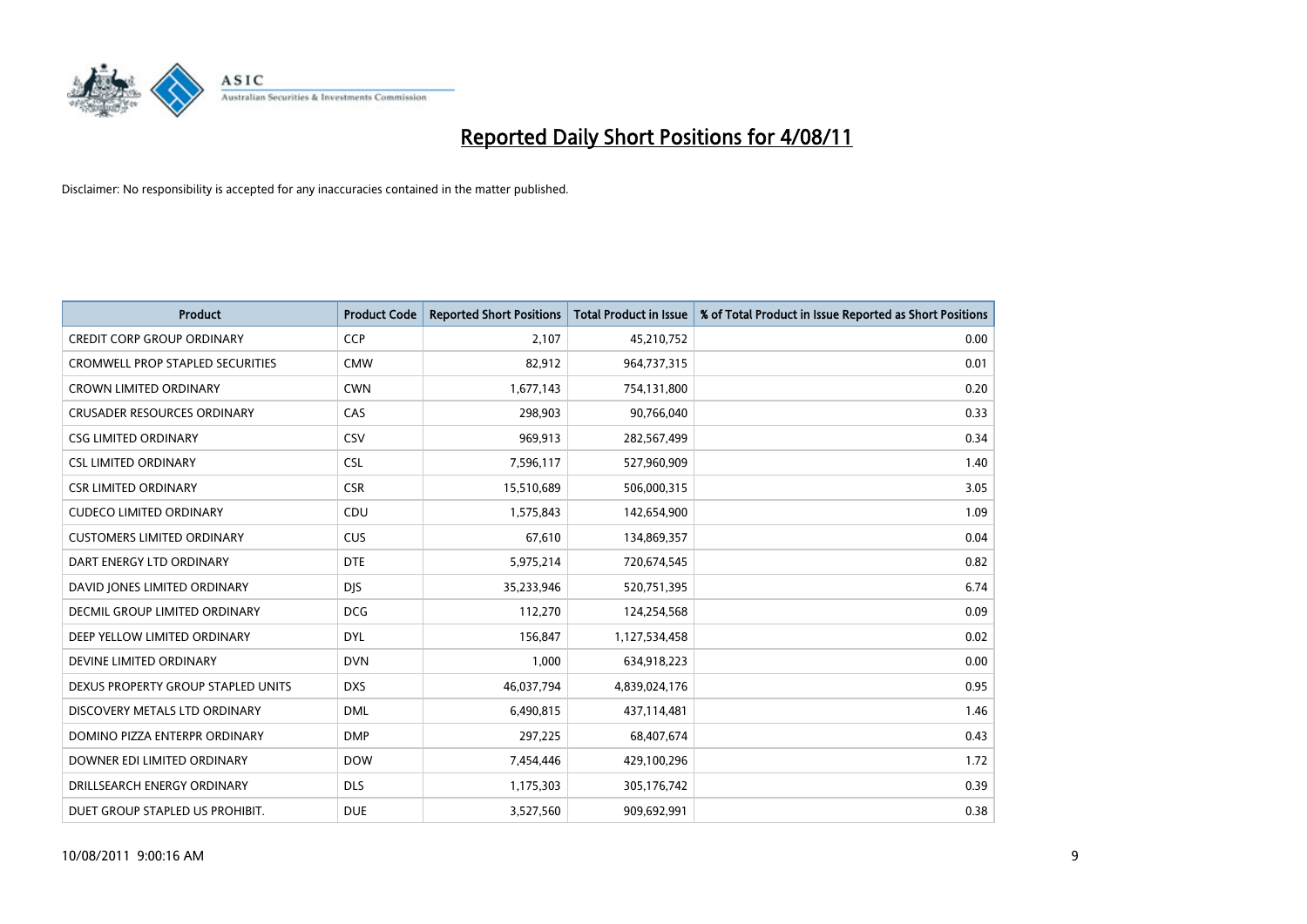

| <b>Product</b>                          | <b>Product Code</b> | <b>Reported Short Positions</b> | <b>Total Product in Issue</b> | % of Total Product in Issue Reported as Short Positions |
|-----------------------------------------|---------------------|---------------------------------|-------------------------------|---------------------------------------------------------|
| <b>CREDIT CORP GROUP ORDINARY</b>       | <b>CCP</b>          | 2,107                           | 45,210,752                    | 0.00                                                    |
| <b>CROMWELL PROP STAPLED SECURITIES</b> | <b>CMW</b>          | 82,912                          | 964,737,315                   | 0.01                                                    |
| <b>CROWN LIMITED ORDINARY</b>           | <b>CWN</b>          | 1,677,143                       | 754,131,800                   | 0.20                                                    |
| <b>CRUSADER RESOURCES ORDINARY</b>      | CAS                 | 298,903                         | 90,766,040                    | 0.33                                                    |
| <b>CSG LIMITED ORDINARY</b>             | CSV                 | 969,913                         | 282,567,499                   | 0.34                                                    |
| <b>CSL LIMITED ORDINARY</b>             | <b>CSL</b>          | 7,596,117                       | 527,960,909                   | 1.40                                                    |
| <b>CSR LIMITED ORDINARY</b>             | <b>CSR</b>          | 15,510,689                      | 506,000,315                   | 3.05                                                    |
| <b>CUDECO LIMITED ORDINARY</b>          | CDU                 | 1,575,843                       | 142,654,900                   | 1.09                                                    |
| <b>CUSTOMERS LIMITED ORDINARY</b>       | <b>CUS</b>          | 67,610                          | 134,869,357                   | 0.04                                                    |
| DART ENERGY LTD ORDINARY                | <b>DTE</b>          | 5,975,214                       | 720,674,545                   | 0.82                                                    |
| DAVID JONES LIMITED ORDINARY            | <b>DJS</b>          | 35,233,946                      | 520,751,395                   | 6.74                                                    |
| <b>DECMIL GROUP LIMITED ORDINARY</b>    | <b>DCG</b>          | 112,270                         | 124,254,568                   | 0.09                                                    |
| DEEP YELLOW LIMITED ORDINARY            | <b>DYL</b>          | 156,847                         | 1,127,534,458                 | 0.02                                                    |
| DEVINE LIMITED ORDINARY                 | <b>DVN</b>          | 1,000                           | 634,918,223                   | 0.00                                                    |
| DEXUS PROPERTY GROUP STAPLED UNITS      | <b>DXS</b>          | 46,037,794                      | 4,839,024,176                 | 0.95                                                    |
| DISCOVERY METALS LTD ORDINARY           | <b>DML</b>          | 6,490,815                       | 437,114,481                   | 1.46                                                    |
| DOMINO PIZZA ENTERPR ORDINARY           | <b>DMP</b>          | 297,225                         | 68,407,674                    | 0.43                                                    |
| DOWNER EDI LIMITED ORDINARY             | <b>DOW</b>          | 7,454,446                       | 429,100,296                   | 1.72                                                    |
| DRILLSEARCH ENERGY ORDINARY             | <b>DLS</b>          | 1,175,303                       | 305,176,742                   | 0.39                                                    |
| DUET GROUP STAPLED US PROHIBIT.         | <b>DUE</b>          | 3,527,560                       | 909,692,991                   | 0.38                                                    |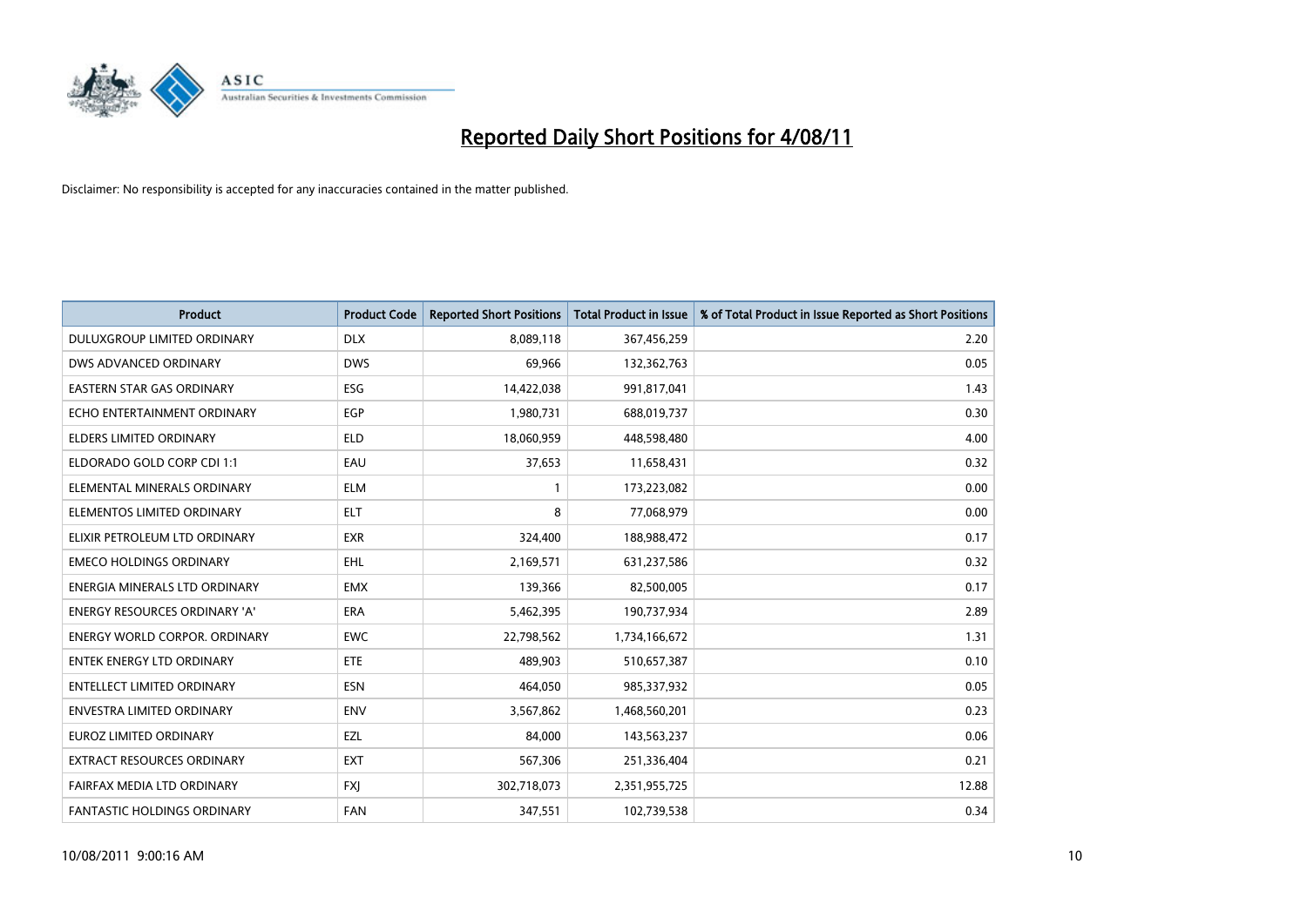

| <b>Product</b>                       | <b>Product Code</b> | <b>Reported Short Positions</b> | Total Product in Issue | % of Total Product in Issue Reported as Short Positions |
|--------------------------------------|---------------------|---------------------------------|------------------------|---------------------------------------------------------|
| DULUXGROUP LIMITED ORDINARY          | <b>DLX</b>          | 8,089,118                       | 367,456,259            | 2.20                                                    |
| DWS ADVANCED ORDINARY                | <b>DWS</b>          | 69,966                          | 132,362,763            | 0.05                                                    |
| EASTERN STAR GAS ORDINARY            | ESG                 | 14,422,038                      | 991,817,041            | 1.43                                                    |
| ECHO ENTERTAINMENT ORDINARY          | EGP                 | 1,980,731                       | 688,019,737            | 0.30                                                    |
| <b>ELDERS LIMITED ORDINARY</b>       | <b>ELD</b>          | 18,060,959                      | 448,598,480            | 4.00                                                    |
| ELDORADO GOLD CORP CDI 1:1           | EAU                 | 37,653                          | 11,658,431             | 0.32                                                    |
| ELEMENTAL MINERALS ORDINARY          | <b>ELM</b>          |                                 | 173,223,082            | 0.00                                                    |
| ELEMENTOS LIMITED ORDINARY           | <b>ELT</b>          | 8                               | 77,068,979             | 0.00                                                    |
| ELIXIR PETROLEUM LTD ORDINARY        | <b>EXR</b>          | 324,400                         | 188,988,472            | 0.17                                                    |
| <b>EMECO HOLDINGS ORDINARY</b>       | <b>EHL</b>          | 2,169,571                       | 631,237,586            | 0.32                                                    |
| ENERGIA MINERALS LTD ORDINARY        | <b>EMX</b>          | 139,366                         | 82,500,005             | 0.17                                                    |
| <b>ENERGY RESOURCES ORDINARY 'A'</b> | ERA                 | 5,462,395                       | 190,737,934            | 2.89                                                    |
| <b>ENERGY WORLD CORPOR. ORDINARY</b> | <b>EWC</b>          | 22,798,562                      | 1,734,166,672          | 1.31                                                    |
| <b>ENTEK ENERGY LTD ORDINARY</b>     | ETE                 | 489,903                         | 510,657,387            | 0.10                                                    |
| <b>ENTELLECT LIMITED ORDINARY</b>    | <b>ESN</b>          | 464,050                         | 985,337,932            | 0.05                                                    |
| <b>ENVESTRA LIMITED ORDINARY</b>     | <b>ENV</b>          | 3,567,862                       | 1,468,560,201          | 0.23                                                    |
| EUROZ LIMITED ORDINARY               | EZL                 | 84,000                          | 143,563,237            | 0.06                                                    |
| EXTRACT RESOURCES ORDINARY           | <b>EXT</b>          | 567,306                         | 251,336,404            | 0.21                                                    |
| FAIRFAX MEDIA LTD ORDINARY           | <b>FXI</b>          | 302,718,073                     | 2,351,955,725          | 12.88                                                   |
| FANTASTIC HOLDINGS ORDINARY          | <b>FAN</b>          | 347,551                         | 102,739,538            | 0.34                                                    |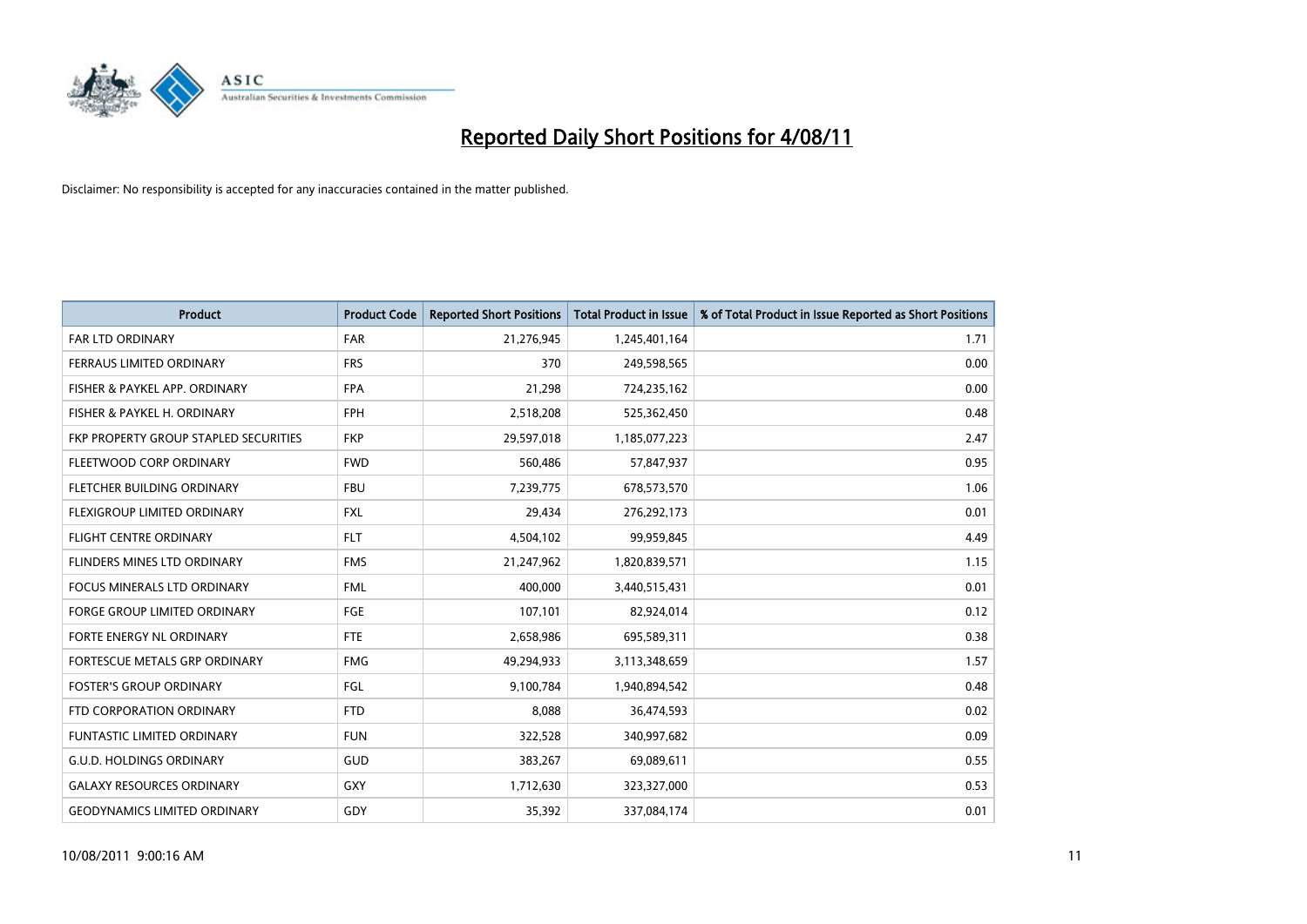

| <b>Product</b>                        | <b>Product Code</b> | <b>Reported Short Positions</b> | <b>Total Product in Issue</b> | % of Total Product in Issue Reported as Short Positions |
|---------------------------------------|---------------------|---------------------------------|-------------------------------|---------------------------------------------------------|
| <b>FAR LTD ORDINARY</b>               | <b>FAR</b>          | 21,276,945                      | 1,245,401,164                 | 1.71                                                    |
| FERRAUS LIMITED ORDINARY              | <b>FRS</b>          | 370                             | 249,598,565                   | 0.00                                                    |
| FISHER & PAYKEL APP. ORDINARY         | <b>FPA</b>          | 21,298                          | 724,235,162                   | 0.00                                                    |
| FISHER & PAYKEL H. ORDINARY           | <b>FPH</b>          | 2,518,208                       | 525,362,450                   | 0.48                                                    |
| FKP PROPERTY GROUP STAPLED SECURITIES | <b>FKP</b>          | 29,597,018                      | 1,185,077,223                 | 2.47                                                    |
| FLEETWOOD CORP ORDINARY               | <b>FWD</b>          | 560,486                         | 57,847,937                    | 0.95                                                    |
| FLETCHER BUILDING ORDINARY            | <b>FBU</b>          | 7,239,775                       | 678,573,570                   | 1.06                                                    |
| FLEXIGROUP LIMITED ORDINARY           | <b>FXL</b>          | 29,434                          | 276,292,173                   | 0.01                                                    |
| <b>FLIGHT CENTRE ORDINARY</b>         | <b>FLT</b>          | 4,504,102                       | 99,959,845                    | 4.49                                                    |
| FLINDERS MINES LTD ORDINARY           | <b>FMS</b>          | 21,247,962                      | 1,820,839,571                 | 1.15                                                    |
| <b>FOCUS MINERALS LTD ORDINARY</b>    | <b>FML</b>          | 400,000                         | 3,440,515,431                 | 0.01                                                    |
| <b>FORGE GROUP LIMITED ORDINARY</b>   | <b>FGE</b>          | 107,101                         | 82,924,014                    | 0.12                                                    |
| FORTE ENERGY NL ORDINARY              | <b>FTE</b>          | 2,658,986                       | 695,589,311                   | 0.38                                                    |
| FORTESCUE METALS GRP ORDINARY         | <b>FMG</b>          | 49,294,933                      | 3,113,348,659                 | 1.57                                                    |
| <b>FOSTER'S GROUP ORDINARY</b>        | <b>FGL</b>          | 9,100,784                       | 1,940,894,542                 | 0.48                                                    |
| FTD CORPORATION ORDINARY              | <b>FTD</b>          | 8,088                           | 36,474,593                    | 0.02                                                    |
| <b>FUNTASTIC LIMITED ORDINARY</b>     | <b>FUN</b>          | 322,528                         | 340,997,682                   | 0.09                                                    |
| <b>G.U.D. HOLDINGS ORDINARY</b>       | GUD                 | 383,267                         | 69,089,611                    | 0.55                                                    |
| <b>GALAXY RESOURCES ORDINARY</b>      | GXY                 | 1,712,630                       | 323,327,000                   | 0.53                                                    |
| <b>GEODYNAMICS LIMITED ORDINARY</b>   | GDY                 | 35,392                          | 337,084,174                   | 0.01                                                    |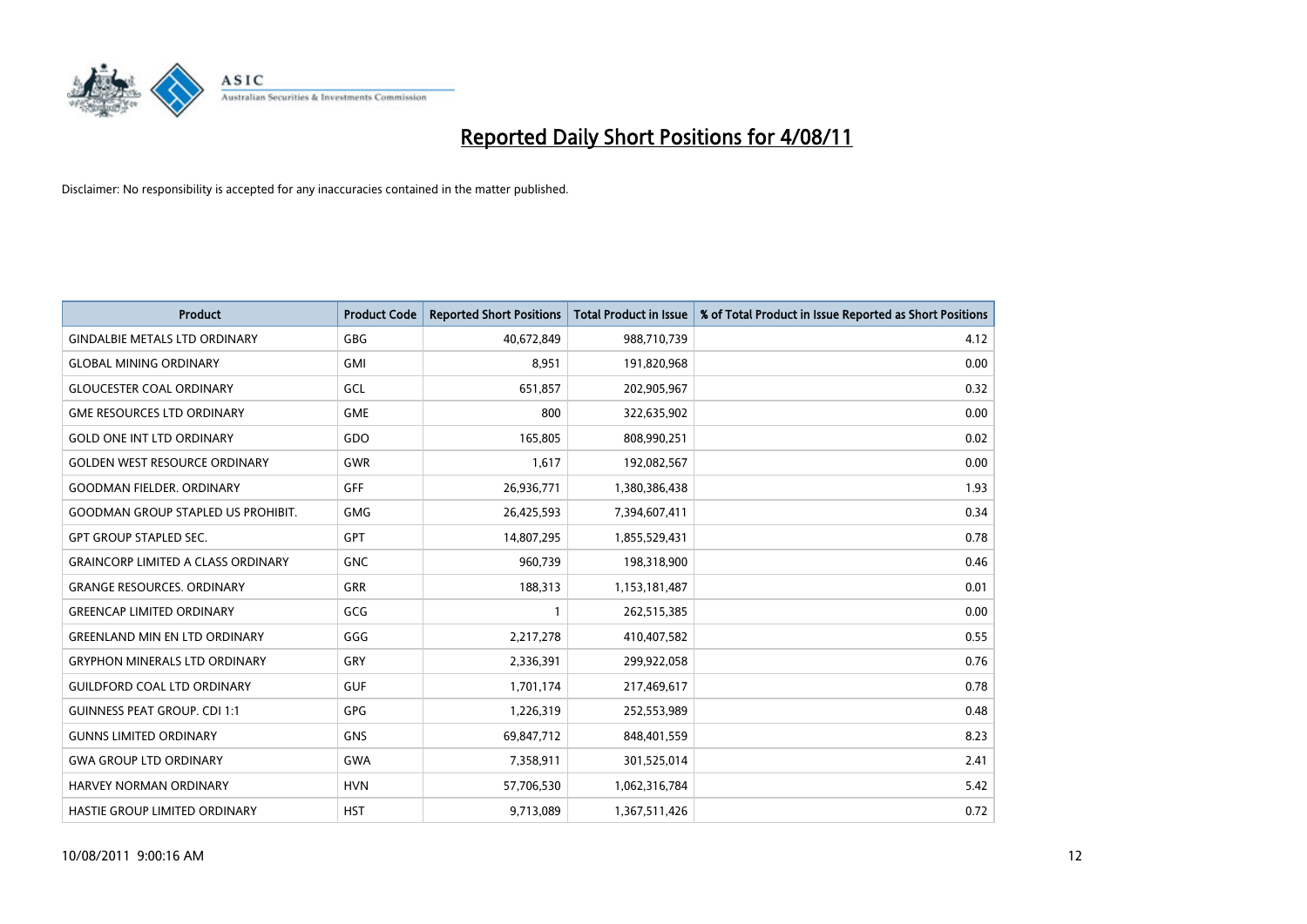

| <b>Product</b>                            | <b>Product Code</b> | <b>Reported Short Positions</b> | <b>Total Product in Issue</b> | % of Total Product in Issue Reported as Short Positions |
|-------------------------------------------|---------------------|---------------------------------|-------------------------------|---------------------------------------------------------|
| <b>GINDALBIE METALS LTD ORDINARY</b>      | <b>GBG</b>          | 40,672,849                      | 988,710,739                   | 4.12                                                    |
| <b>GLOBAL MINING ORDINARY</b>             | <b>GMI</b>          | 8.951                           | 191,820,968                   | 0.00                                                    |
| <b>GLOUCESTER COAL ORDINARY</b>           | GCL                 | 651,857                         | 202,905,967                   | 0.32                                                    |
| <b>GME RESOURCES LTD ORDINARY</b>         | <b>GME</b>          | 800                             | 322,635,902                   | 0.00                                                    |
| <b>GOLD ONE INT LTD ORDINARY</b>          | GDO                 | 165,805                         | 808,990,251                   | 0.02                                                    |
| <b>GOLDEN WEST RESOURCE ORDINARY</b>      | <b>GWR</b>          | 1,617                           | 192,082,567                   | 0.00                                                    |
| <b>GOODMAN FIELDER, ORDINARY</b>          | <b>GFF</b>          | 26,936,771                      | 1,380,386,438                 | 1.93                                                    |
| <b>GOODMAN GROUP STAPLED US PROHIBIT.</b> | <b>GMG</b>          | 26,425,593                      | 7,394,607,411                 | 0.34                                                    |
| <b>GPT GROUP STAPLED SEC.</b>             | <b>GPT</b>          | 14,807,295                      | 1,855,529,431                 | 0.78                                                    |
| <b>GRAINCORP LIMITED A CLASS ORDINARY</b> | <b>GNC</b>          | 960,739                         | 198,318,900                   | 0.46                                                    |
| <b>GRANGE RESOURCES, ORDINARY</b>         | <b>GRR</b>          | 188,313                         | 1,153,181,487                 | 0.01                                                    |
| <b>GREENCAP LIMITED ORDINARY</b>          | GCG                 |                                 | 262,515,385                   | 0.00                                                    |
| <b>GREENLAND MIN EN LTD ORDINARY</b>      | GGG                 | 2,217,278                       | 410,407,582                   | 0.55                                                    |
| <b>GRYPHON MINERALS LTD ORDINARY</b>      | GRY                 | 2,336,391                       | 299,922,058                   | 0.76                                                    |
| <b>GUILDFORD COAL LTD ORDINARY</b>        | <b>GUF</b>          | 1,701,174                       | 217,469,617                   | 0.78                                                    |
| <b>GUINNESS PEAT GROUP. CDI 1:1</b>       | <b>GPG</b>          | 1,226,319                       | 252,553,989                   | 0.48                                                    |
| <b>GUNNS LIMITED ORDINARY</b>             | <b>GNS</b>          | 69,847,712                      | 848,401,559                   | 8.23                                                    |
| <b>GWA GROUP LTD ORDINARY</b>             | <b>GWA</b>          | 7,358,911                       | 301,525,014                   | 2.41                                                    |
| HARVEY NORMAN ORDINARY                    | <b>HVN</b>          | 57,706,530                      | 1,062,316,784                 | 5.42                                                    |
| <b>HASTIE GROUP LIMITED ORDINARY</b>      | <b>HST</b>          | 9,713,089                       | 1,367,511,426                 | 0.72                                                    |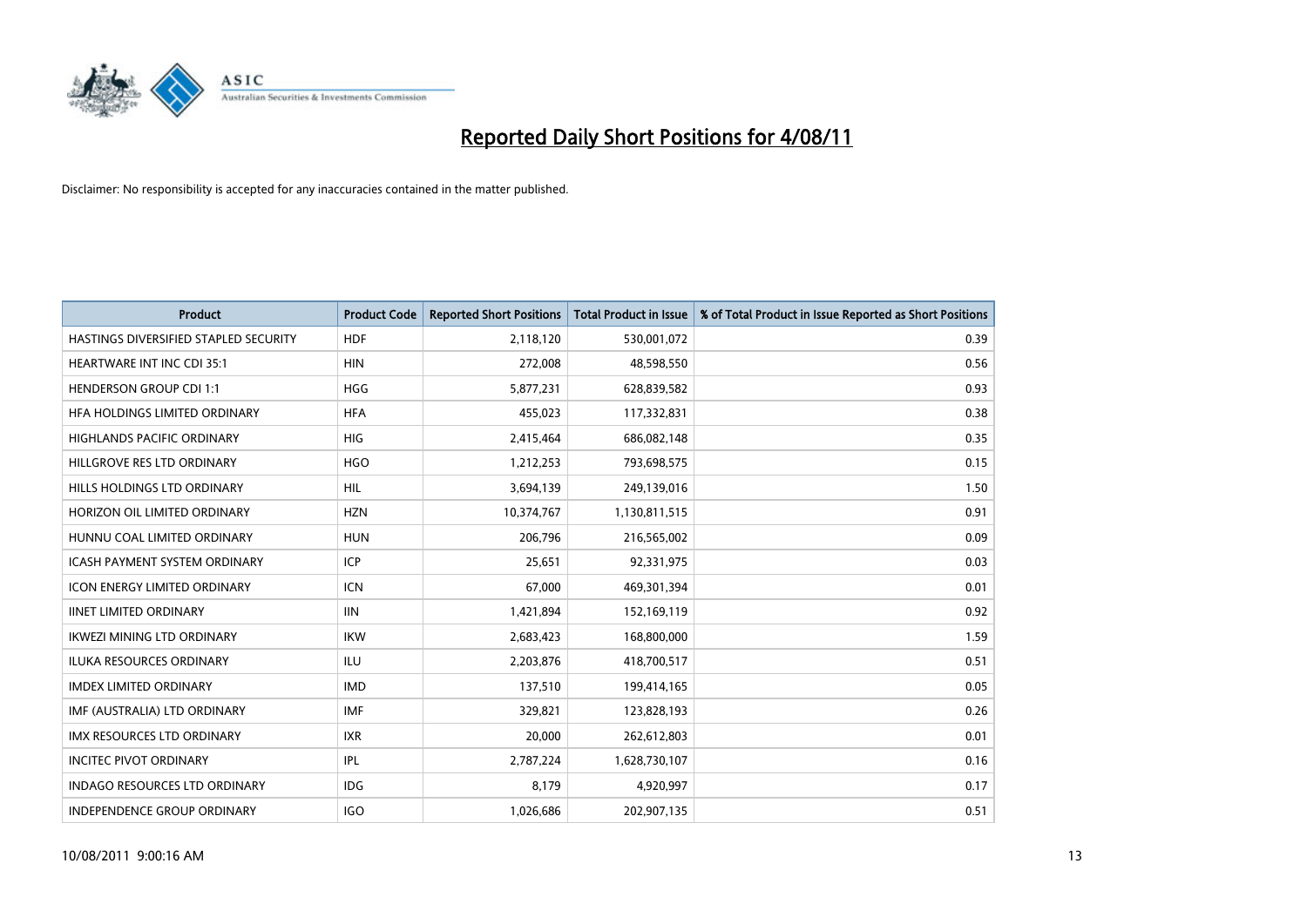

| <b>Product</b>                        | <b>Product Code</b> | <b>Reported Short Positions</b> | <b>Total Product in Issue</b> | % of Total Product in Issue Reported as Short Positions |
|---------------------------------------|---------------------|---------------------------------|-------------------------------|---------------------------------------------------------|
| HASTINGS DIVERSIFIED STAPLED SECURITY | <b>HDF</b>          | 2,118,120                       | 530,001,072                   | 0.39                                                    |
| HEARTWARE INT INC CDI 35:1            | <b>HIN</b>          | 272,008                         | 48,598,550                    | 0.56                                                    |
| <b>HENDERSON GROUP CDI 1:1</b>        | <b>HGG</b>          | 5,877,231                       | 628,839,582                   | 0.93                                                    |
| HFA HOLDINGS LIMITED ORDINARY         | <b>HFA</b>          | 455,023                         | 117,332,831                   | 0.38                                                    |
| <b>HIGHLANDS PACIFIC ORDINARY</b>     | HIG                 | 2,415,464                       | 686,082,148                   | 0.35                                                    |
| HILLGROVE RES LTD ORDINARY            | <b>HGO</b>          | 1,212,253                       | 793,698,575                   | 0.15                                                    |
| HILLS HOLDINGS LTD ORDINARY           | <b>HIL</b>          | 3,694,139                       | 249,139,016                   | 1.50                                                    |
| HORIZON OIL LIMITED ORDINARY          | <b>HZN</b>          | 10,374,767                      | 1,130,811,515                 | 0.91                                                    |
| HUNNU COAL LIMITED ORDINARY           | <b>HUN</b>          | 206,796                         | 216,565,002                   | 0.09                                                    |
| <b>ICASH PAYMENT SYSTEM ORDINARY</b>  | <b>ICP</b>          | 25,651                          | 92,331,975                    | 0.03                                                    |
| <b>ICON ENERGY LIMITED ORDINARY</b>   | <b>ICN</b>          | 67,000                          | 469,301,394                   | 0.01                                                    |
| <b>IINET LIMITED ORDINARY</b>         | <b>IIN</b>          | 1,421,894                       | 152,169,119                   | 0.92                                                    |
| <b>IKWEZI MINING LTD ORDINARY</b>     | <b>IKW</b>          | 2,683,423                       | 168,800,000                   | 1.59                                                    |
| <b>ILUKA RESOURCES ORDINARY</b>       | ILU                 | 2,203,876                       | 418,700,517                   | 0.51                                                    |
| <b>IMDEX LIMITED ORDINARY</b>         | <b>IMD</b>          | 137,510                         | 199,414,165                   | 0.05                                                    |
| IMF (AUSTRALIA) LTD ORDINARY          | <b>IMF</b>          | 329,821                         | 123,828,193                   | 0.26                                                    |
| <b>IMX RESOURCES LTD ORDINARY</b>     | <b>IXR</b>          | 20,000                          | 262,612,803                   | 0.01                                                    |
| <b>INCITEC PIVOT ORDINARY</b>         | IPL                 | 2,787,224                       | 1,628,730,107                 | 0.16                                                    |
| <b>INDAGO RESOURCES LTD ORDINARY</b>  | <b>IDG</b>          | 8,179                           | 4,920,997                     | 0.17                                                    |
| INDEPENDENCE GROUP ORDINARY           | <b>IGO</b>          | 1,026,686                       | 202,907,135                   | 0.51                                                    |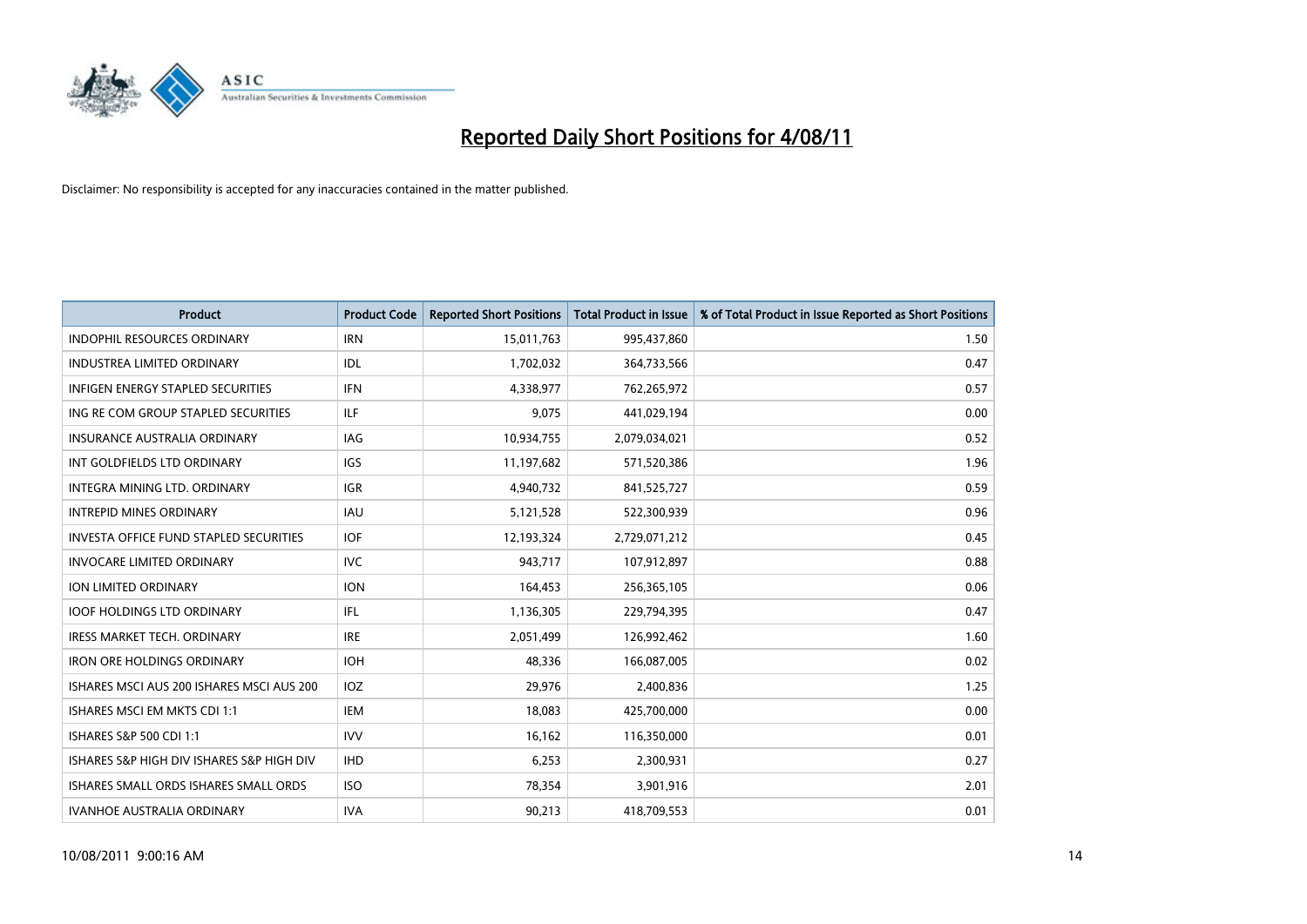

| <b>Product</b>                            | <b>Product Code</b> | <b>Reported Short Positions</b> | <b>Total Product in Issue</b> | % of Total Product in Issue Reported as Short Positions |
|-------------------------------------------|---------------------|---------------------------------|-------------------------------|---------------------------------------------------------|
| <b>INDOPHIL RESOURCES ORDINARY</b>        | <b>IRN</b>          | 15,011,763                      | 995,437,860                   | 1.50                                                    |
| <b>INDUSTREA LIMITED ORDINARY</b>         | IDL                 | 1,702,032                       | 364,733,566                   | 0.47                                                    |
| <b>INFIGEN ENERGY STAPLED SECURITIES</b>  | <b>IFN</b>          | 4,338,977                       | 762,265,972                   | 0.57                                                    |
| ING RE COM GROUP STAPLED SECURITIES       | ILF                 | 9,075                           | 441,029,194                   | 0.00                                                    |
| <b>INSURANCE AUSTRALIA ORDINARY</b>       | <b>IAG</b>          | 10,934,755                      | 2,079,034,021                 | 0.52                                                    |
| INT GOLDFIELDS LTD ORDINARY               | <b>IGS</b>          | 11,197,682                      | 571,520,386                   | 1.96                                                    |
| INTEGRA MINING LTD, ORDINARY              | <b>IGR</b>          | 4,940,732                       | 841,525,727                   | 0.59                                                    |
| <b>INTREPID MINES ORDINARY</b>            | <b>IAU</b>          | 5,121,528                       | 522,300,939                   | 0.96                                                    |
| INVESTA OFFICE FUND STAPLED SECURITIES    | <b>IOF</b>          | 12,193,324                      | 2,729,071,212                 | 0.45                                                    |
| <b>INVOCARE LIMITED ORDINARY</b>          | <b>IVC</b>          | 943,717                         | 107,912,897                   | 0.88                                                    |
| <b>ION LIMITED ORDINARY</b>               | <b>ION</b>          | 164,453                         | 256,365,105                   | 0.06                                                    |
| <b>IOOF HOLDINGS LTD ORDINARY</b>         | IFL.                | 1,136,305                       | 229,794,395                   | 0.47                                                    |
| <b>IRESS MARKET TECH. ORDINARY</b>        | <b>IRE</b>          | 2,051,499                       | 126,992,462                   | 1.60                                                    |
| <b>IRON ORE HOLDINGS ORDINARY</b>         | <b>IOH</b>          | 48.336                          | 166,087,005                   | 0.02                                                    |
| ISHARES MSCI AUS 200 ISHARES MSCI AUS 200 | IOZ                 | 29,976                          | 2,400,836                     | 1.25                                                    |
| ISHARES MSCI EM MKTS CDI 1:1              | <b>IEM</b>          | 18,083                          | 425,700,000                   | 0.00                                                    |
| ISHARES S&P 500 CDI 1:1                   | <b>IVV</b>          | 16,162                          | 116,350,000                   | 0.01                                                    |
| ISHARES S&P HIGH DIV ISHARES S&P HIGH DIV | <b>IHD</b>          | 6,253                           | 2,300,931                     | 0.27                                                    |
| ISHARES SMALL ORDS ISHARES SMALL ORDS     | <b>ISO</b>          | 78,354                          | 3,901,916                     | 2.01                                                    |
| <b>IVANHOE AUSTRALIA ORDINARY</b>         | <b>IVA</b>          | 90,213                          | 418,709,553                   | 0.01                                                    |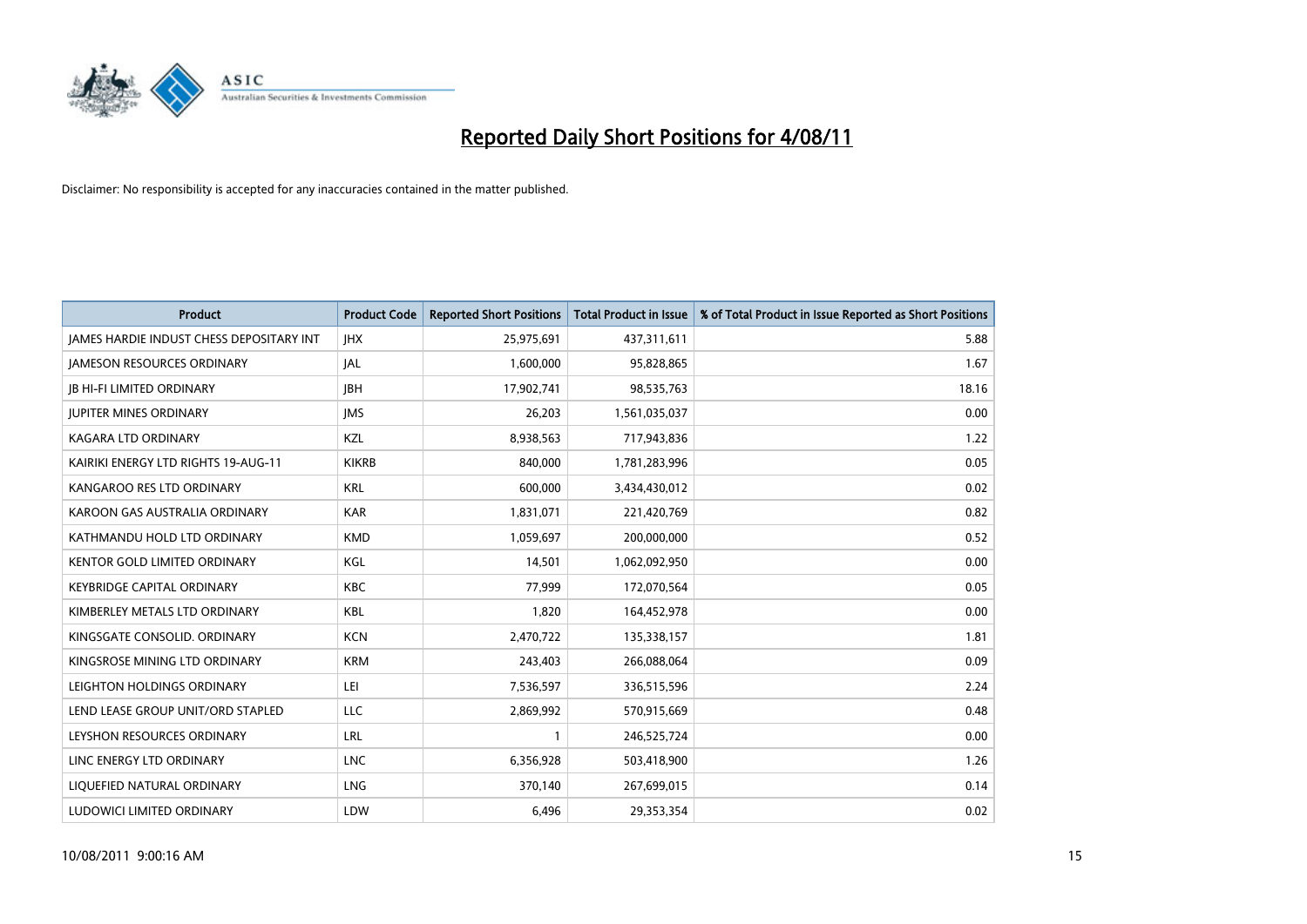

| <b>Product</b>                                  | <b>Product Code</b> | <b>Reported Short Positions</b> | <b>Total Product in Issue</b> | % of Total Product in Issue Reported as Short Positions |
|-------------------------------------------------|---------------------|---------------------------------|-------------------------------|---------------------------------------------------------|
| <b>JAMES HARDIE INDUST CHESS DEPOSITARY INT</b> | <b>JHX</b>          | 25,975,691                      | 437,311,611                   | 5.88                                                    |
| <b>JAMESON RESOURCES ORDINARY</b>               | <b>JAL</b>          | 1,600,000                       | 95,828,865                    | 1.67                                                    |
| <b>JB HI-FI LIMITED ORDINARY</b>                | <b>IBH</b>          | 17,902,741                      | 98,535,763                    | 18.16                                                   |
| <b>JUPITER MINES ORDINARY</b>                   | <b>IMS</b>          | 26,203                          | 1,561,035,037                 | 0.00                                                    |
| <b>KAGARA LTD ORDINARY</b>                      | KZL                 | 8,938,563                       | 717,943,836                   | 1.22                                                    |
| KAIRIKI ENERGY LTD RIGHTS 19-AUG-11             | <b>KIKRB</b>        | 840.000                         | 1,781,283,996                 | 0.05                                                    |
| KANGAROO RES LTD ORDINARY                       | <b>KRL</b>          | 600,000                         | 3,434,430,012                 | 0.02                                                    |
| KAROON GAS AUSTRALIA ORDINARY                   | <b>KAR</b>          | 1,831,071                       | 221,420,769                   | 0.82                                                    |
| KATHMANDU HOLD LTD ORDINARY                     | <b>KMD</b>          | 1,059,697                       | 200,000,000                   | 0.52                                                    |
| <b>KENTOR GOLD LIMITED ORDINARY</b>             | KGL                 | 14,501                          | 1,062,092,950                 | 0.00                                                    |
| <b>KEYBRIDGE CAPITAL ORDINARY</b>               | <b>KBC</b>          | 77,999                          | 172,070,564                   | 0.05                                                    |
| KIMBERLEY METALS LTD ORDINARY                   | <b>KBL</b>          | 1,820                           | 164,452,978                   | 0.00                                                    |
| KINGSGATE CONSOLID, ORDINARY                    | <b>KCN</b>          | 2,470,722                       | 135,338,157                   | 1.81                                                    |
| KINGSROSE MINING LTD ORDINARY                   | <b>KRM</b>          | 243,403                         | 266,088,064                   | 0.09                                                    |
| LEIGHTON HOLDINGS ORDINARY                      | LEI                 | 7,536,597                       | 336,515,596                   | 2.24                                                    |
| LEND LEASE GROUP UNIT/ORD STAPLED               | <b>LLC</b>          | 2,869,992                       | 570,915,669                   | 0.48                                                    |
| LEYSHON RESOURCES ORDINARY                      | LRL                 |                                 | 246,525,724                   | 0.00                                                    |
| LINC ENERGY LTD ORDINARY                        | <b>LNC</b>          | 6,356,928                       | 503,418,900                   | 1.26                                                    |
| LIQUEFIED NATURAL ORDINARY                      | LNG                 | 370,140                         | 267,699,015                   | 0.14                                                    |
| LUDOWICI LIMITED ORDINARY                       | LDW                 | 6,496                           | 29,353,354                    | 0.02                                                    |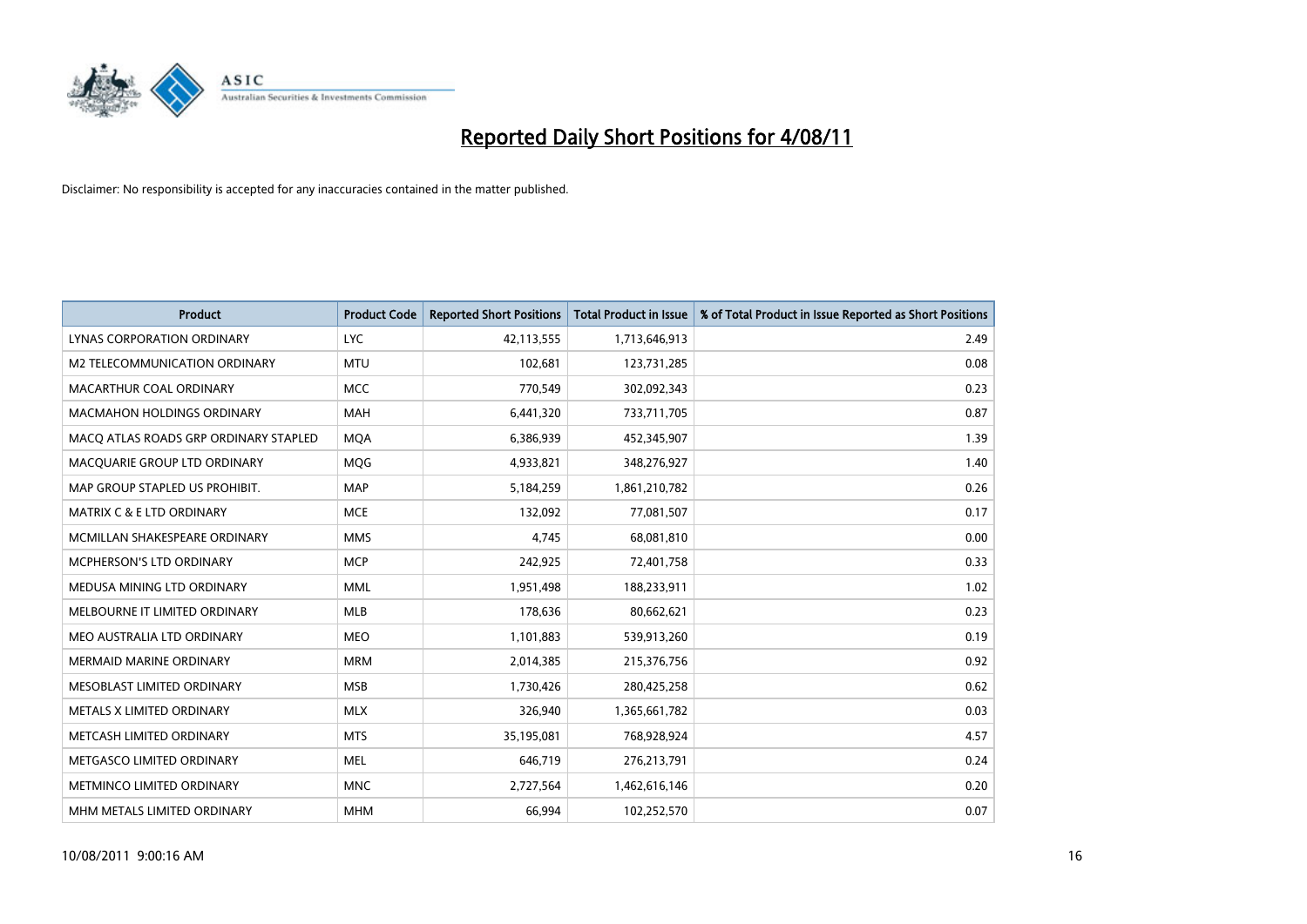

| <b>Product</b>                        | <b>Product Code</b> | <b>Reported Short Positions</b> | <b>Total Product in Issue</b> | % of Total Product in Issue Reported as Short Positions |
|---------------------------------------|---------------------|---------------------------------|-------------------------------|---------------------------------------------------------|
| LYNAS CORPORATION ORDINARY            | <b>LYC</b>          | 42,113,555                      | 1,713,646,913                 | 2.49                                                    |
| M2 TELECOMMUNICATION ORDINARY         | <b>MTU</b>          | 102,681                         | 123,731,285                   | 0.08                                                    |
| MACARTHUR COAL ORDINARY               | <b>MCC</b>          | 770,549                         | 302,092,343                   | 0.23                                                    |
| MACMAHON HOLDINGS ORDINARY            | <b>MAH</b>          | 6,441,320                       | 733,711,705                   | 0.87                                                    |
| MACO ATLAS ROADS GRP ORDINARY STAPLED | <b>MOA</b>          | 6,386,939                       | 452,345,907                   | 1.39                                                    |
| MACQUARIE GROUP LTD ORDINARY          | MQG                 | 4,933,821                       | 348,276,927                   | 1.40                                                    |
| MAP GROUP STAPLED US PROHIBIT.        | <b>MAP</b>          | 5,184,259                       | 1,861,210,782                 | 0.26                                                    |
| <b>MATRIX C &amp; E LTD ORDINARY</b>  | <b>MCE</b>          | 132,092                         | 77,081,507                    | 0.17                                                    |
| MCMILLAN SHAKESPEARE ORDINARY         | <b>MMS</b>          | 4,745                           | 68,081,810                    | 0.00                                                    |
| <b>MCPHERSON'S LTD ORDINARY</b>       | <b>MCP</b>          | 242,925                         | 72,401,758                    | 0.33                                                    |
| MEDUSA MINING LTD ORDINARY            | <b>MML</b>          | 1,951,498                       | 188,233,911                   | 1.02                                                    |
| MELBOURNE IT LIMITED ORDINARY         | MLB                 | 178,636                         | 80,662,621                    | 0.23                                                    |
| MEO AUSTRALIA LTD ORDINARY            | <b>MEO</b>          | 1,101,883                       | 539,913,260                   | 0.19                                                    |
| <b>MERMAID MARINE ORDINARY</b>        | <b>MRM</b>          | 2,014,385                       | 215,376,756                   | 0.92                                                    |
| MESOBLAST LIMITED ORDINARY            | <b>MSB</b>          | 1,730,426                       | 280,425,258                   | 0.62                                                    |
| METALS X LIMITED ORDINARY             | <b>MLX</b>          | 326,940                         | 1,365,661,782                 | 0.03                                                    |
| METCASH LIMITED ORDINARY              | <b>MTS</b>          | 35,195,081                      | 768,928,924                   | 4.57                                                    |
| METGASCO LIMITED ORDINARY             | <b>MEL</b>          | 646,719                         | 276,213,791                   | 0.24                                                    |
| METMINCO LIMITED ORDINARY             | <b>MNC</b>          | 2,727,564                       | 1,462,616,146                 | 0.20                                                    |
| MHM METALS LIMITED ORDINARY           | <b>MHM</b>          | 66,994                          | 102,252,570                   | 0.07                                                    |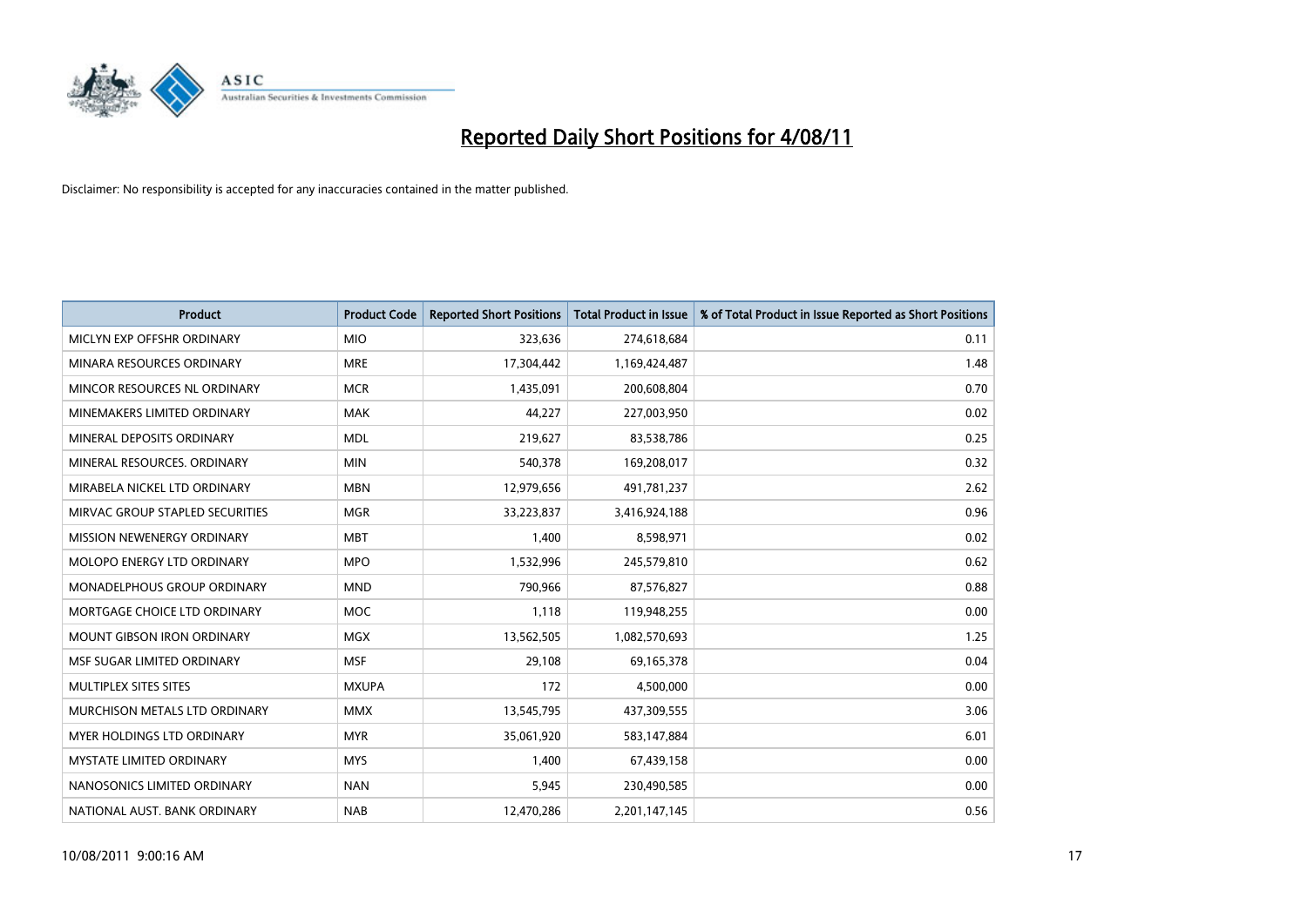

| <b>Product</b>                    | <b>Product Code</b> | <b>Reported Short Positions</b> | <b>Total Product in Issue</b> | % of Total Product in Issue Reported as Short Positions |
|-----------------------------------|---------------------|---------------------------------|-------------------------------|---------------------------------------------------------|
| MICLYN EXP OFFSHR ORDINARY        | <b>MIO</b>          | 323,636                         | 274,618,684                   | 0.11                                                    |
| MINARA RESOURCES ORDINARY         | <b>MRE</b>          | 17,304,442                      | 1,169,424,487                 | 1.48                                                    |
| MINCOR RESOURCES NL ORDINARY      | <b>MCR</b>          | 1,435,091                       | 200,608,804                   | 0.70                                                    |
| MINEMAKERS LIMITED ORDINARY       | <b>MAK</b>          | 44,227                          | 227,003,950                   | 0.02                                                    |
| MINERAL DEPOSITS ORDINARY         | <b>MDL</b>          | 219,627                         | 83,538,786                    | 0.25                                                    |
| MINERAL RESOURCES, ORDINARY       | <b>MIN</b>          | 540,378                         | 169,208,017                   | 0.32                                                    |
| MIRABELA NICKEL LTD ORDINARY      | <b>MBN</b>          | 12,979,656                      | 491,781,237                   | 2.62                                                    |
| MIRVAC GROUP STAPLED SECURITIES   | <b>MGR</b>          | 33,223,837                      | 3,416,924,188                 | 0.96                                                    |
| MISSION NEWENERGY ORDINARY        | <b>MBT</b>          | 1,400                           | 8,598,971                     | 0.02                                                    |
| MOLOPO ENERGY LTD ORDINARY        | <b>MPO</b>          | 1,532,996                       | 245,579,810                   | 0.62                                                    |
| MONADELPHOUS GROUP ORDINARY       | <b>MND</b>          | 790,966                         | 87,576,827                    | 0.88                                                    |
| MORTGAGE CHOICE LTD ORDINARY      | <b>MOC</b>          | 1,118                           | 119,948,255                   | 0.00                                                    |
| <b>MOUNT GIBSON IRON ORDINARY</b> | <b>MGX</b>          | 13,562,505                      | 1,082,570,693                 | 1.25                                                    |
| MSF SUGAR LIMITED ORDINARY        | <b>MSF</b>          | 29,108                          | 69,165,378                    | 0.04                                                    |
| MULTIPLEX SITES SITES             | <b>MXUPA</b>        | 172                             | 4,500,000                     | 0.00                                                    |
| MURCHISON METALS LTD ORDINARY     | <b>MMX</b>          | 13,545,795                      | 437,309,555                   | 3.06                                                    |
| <b>MYER HOLDINGS LTD ORDINARY</b> | <b>MYR</b>          | 35,061,920                      | 583,147,884                   | 6.01                                                    |
| <b>MYSTATE LIMITED ORDINARY</b>   | <b>MYS</b>          | 1,400                           | 67,439,158                    | 0.00                                                    |
| NANOSONICS LIMITED ORDINARY       | <b>NAN</b>          | 5,945                           | 230,490,585                   | 0.00                                                    |
| NATIONAL AUST. BANK ORDINARY      | <b>NAB</b>          | 12,470,286                      | 2,201,147,145                 | 0.56                                                    |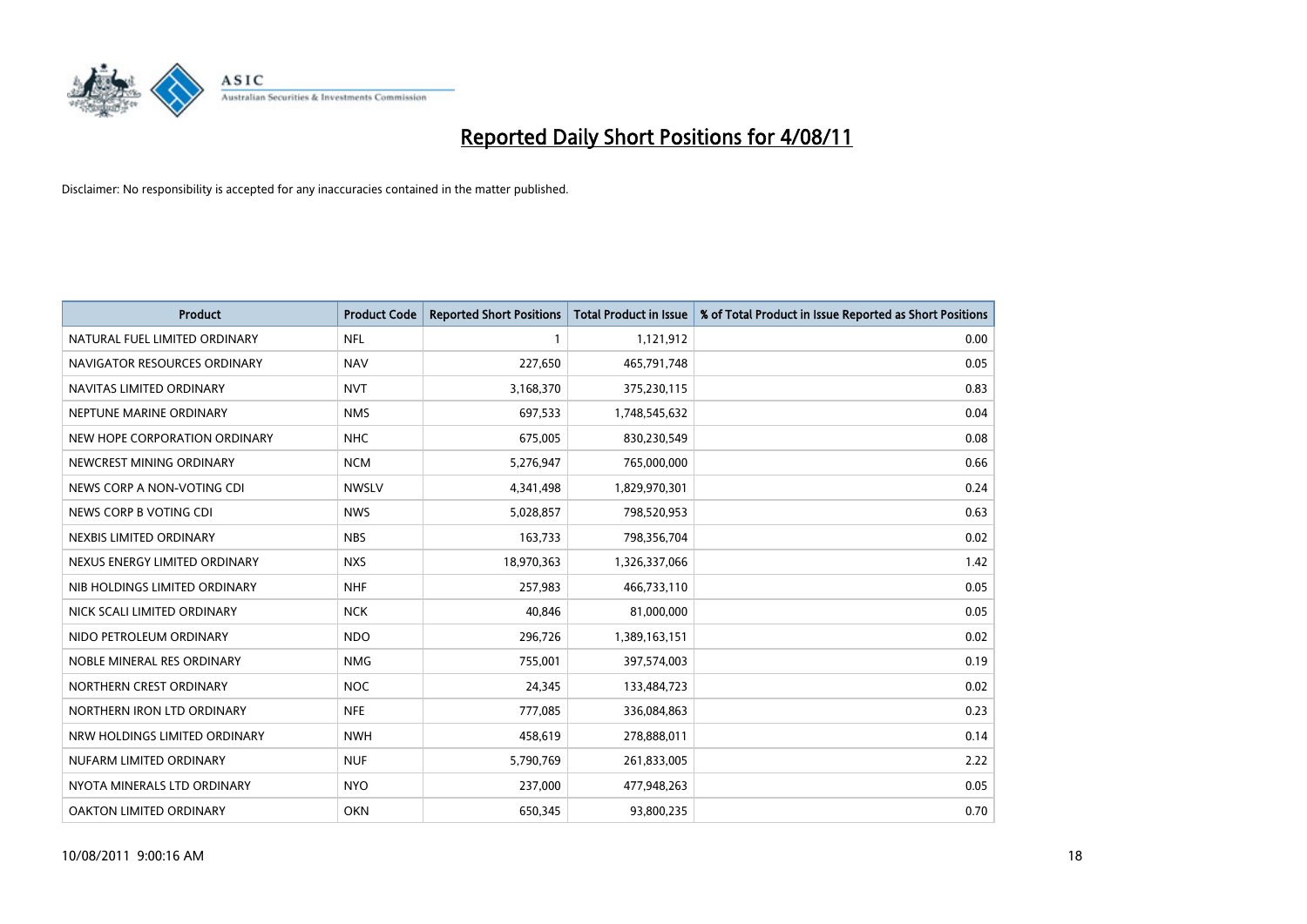

| <b>Product</b>                | <b>Product Code</b> | <b>Reported Short Positions</b> | <b>Total Product in Issue</b> | % of Total Product in Issue Reported as Short Positions |
|-------------------------------|---------------------|---------------------------------|-------------------------------|---------------------------------------------------------|
| NATURAL FUEL LIMITED ORDINARY | <b>NFL</b>          |                                 | 1,121,912                     | 0.00                                                    |
| NAVIGATOR RESOURCES ORDINARY  | <b>NAV</b>          | 227,650                         | 465,791,748                   | 0.05                                                    |
| NAVITAS LIMITED ORDINARY      | <b>NVT</b>          | 3,168,370                       | 375,230,115                   | 0.83                                                    |
| NEPTUNE MARINE ORDINARY       | <b>NMS</b>          | 697,533                         | 1,748,545,632                 | 0.04                                                    |
| NEW HOPE CORPORATION ORDINARY | <b>NHC</b>          | 675,005                         | 830,230,549                   | 0.08                                                    |
| NEWCREST MINING ORDINARY      | <b>NCM</b>          | 5,276,947                       | 765,000,000                   | 0.66                                                    |
| NEWS CORP A NON-VOTING CDI    | <b>NWSLV</b>        | 4,341,498                       | 1,829,970,301                 | 0.24                                                    |
| NEWS CORP B VOTING CDI        | <b>NWS</b>          | 5,028,857                       | 798,520,953                   | 0.63                                                    |
| NEXBIS LIMITED ORDINARY       | <b>NBS</b>          | 163,733                         | 798,356,704                   | 0.02                                                    |
| NEXUS ENERGY LIMITED ORDINARY | <b>NXS</b>          | 18,970,363                      | 1,326,337,066                 | 1.42                                                    |
| NIB HOLDINGS LIMITED ORDINARY | <b>NHF</b>          | 257,983                         | 466,733,110                   | 0.05                                                    |
| NICK SCALI LIMITED ORDINARY   | <b>NCK</b>          | 40,846                          | 81,000,000                    | 0.05                                                    |
| NIDO PETROLEUM ORDINARY       | <b>NDO</b>          | 296,726                         | 1,389,163,151                 | 0.02                                                    |
| NOBLE MINERAL RES ORDINARY    | <b>NMG</b>          | 755,001                         | 397,574,003                   | 0.19                                                    |
| NORTHERN CREST ORDINARY       | <b>NOC</b>          | 24,345                          | 133,484,723                   | 0.02                                                    |
| NORTHERN IRON LTD ORDINARY    | <b>NFE</b>          | 777,085                         | 336,084,863                   | 0.23                                                    |
| NRW HOLDINGS LIMITED ORDINARY | <b>NWH</b>          | 458,619                         | 278,888,011                   | 0.14                                                    |
| NUFARM LIMITED ORDINARY       | <b>NUF</b>          | 5,790,769                       | 261,833,005                   | 2.22                                                    |
| NYOTA MINERALS LTD ORDINARY   | <b>NYO</b>          | 237,000                         | 477,948,263                   | 0.05                                                    |
| OAKTON LIMITED ORDINARY       | <b>OKN</b>          | 650,345                         | 93,800,235                    | 0.70                                                    |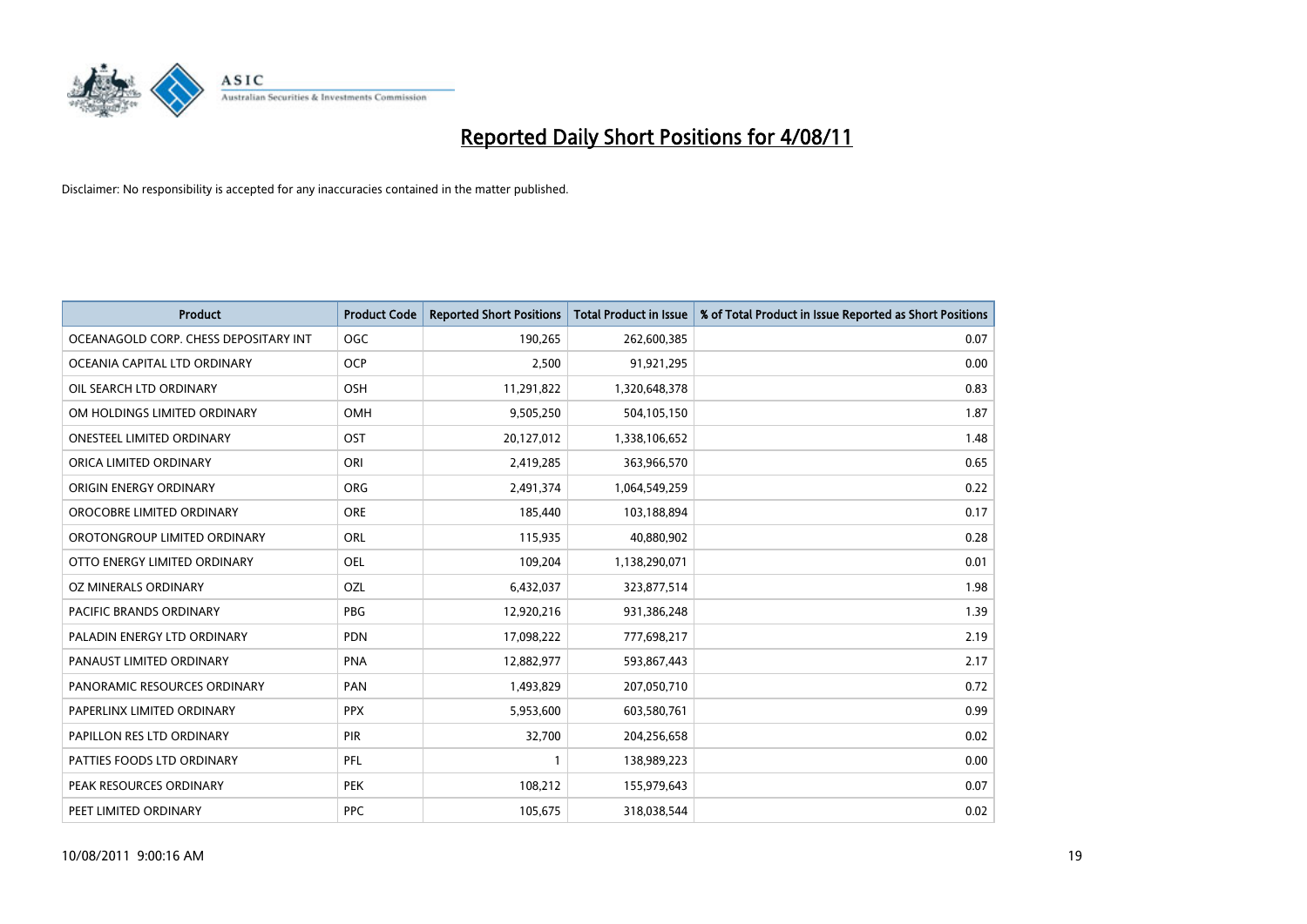

| <b>Product</b>                        | <b>Product Code</b> | <b>Reported Short Positions</b> | Total Product in Issue | % of Total Product in Issue Reported as Short Positions |
|---------------------------------------|---------------------|---------------------------------|------------------------|---------------------------------------------------------|
| OCEANAGOLD CORP. CHESS DEPOSITARY INT | <b>OGC</b>          | 190,265                         | 262,600,385            | 0.07                                                    |
| OCEANIA CAPITAL LTD ORDINARY          | <b>OCP</b>          | 2,500                           | 91,921,295             | 0.00                                                    |
| OIL SEARCH LTD ORDINARY               | <b>OSH</b>          | 11,291,822                      | 1,320,648,378          | 0.83                                                    |
| OM HOLDINGS LIMITED ORDINARY          | <b>OMH</b>          | 9,505,250                       | 504,105,150            | 1.87                                                    |
| <b>ONESTEEL LIMITED ORDINARY</b>      | OST                 | 20,127,012                      | 1,338,106,652          | 1.48                                                    |
| ORICA LIMITED ORDINARY                | ORI                 | 2,419,285                       | 363,966,570            | 0.65                                                    |
| ORIGIN ENERGY ORDINARY                | <b>ORG</b>          | 2,491,374                       | 1,064,549,259          | 0.22                                                    |
| OROCOBRE LIMITED ORDINARY             | <b>ORE</b>          | 185,440                         | 103,188,894            | 0.17                                                    |
| OROTONGROUP LIMITED ORDINARY          | ORL                 | 115,935                         | 40,880,902             | 0.28                                                    |
| OTTO ENERGY LIMITED ORDINARY          | OEL                 | 109,204                         | 1,138,290,071          | 0.01                                                    |
| OZ MINERALS ORDINARY                  | OZL                 | 6,432,037                       | 323,877,514            | 1.98                                                    |
| PACIFIC BRANDS ORDINARY               | <b>PBG</b>          | 12,920,216                      | 931,386,248            | 1.39                                                    |
| PALADIN ENERGY LTD ORDINARY           | <b>PDN</b>          | 17,098,222                      | 777,698,217            | 2.19                                                    |
| PANAUST LIMITED ORDINARY              | <b>PNA</b>          | 12,882,977                      | 593,867,443            | 2.17                                                    |
| PANORAMIC RESOURCES ORDINARY          | PAN                 | 1,493,829                       | 207,050,710            | 0.72                                                    |
| PAPERLINX LIMITED ORDINARY            | <b>PPX</b>          | 5,953,600                       | 603,580,761            | 0.99                                                    |
| PAPILLON RES LTD ORDINARY             | PIR                 | 32,700                          | 204,256,658            | 0.02                                                    |
| PATTIES FOODS LTD ORDINARY            | PFL                 |                                 | 138,989,223            | 0.00                                                    |
| PEAK RESOURCES ORDINARY               | <b>PEK</b>          | 108,212                         | 155,979,643            | 0.07                                                    |
| PEET LIMITED ORDINARY                 | <b>PPC</b>          | 105,675                         | 318,038,544            | 0.02                                                    |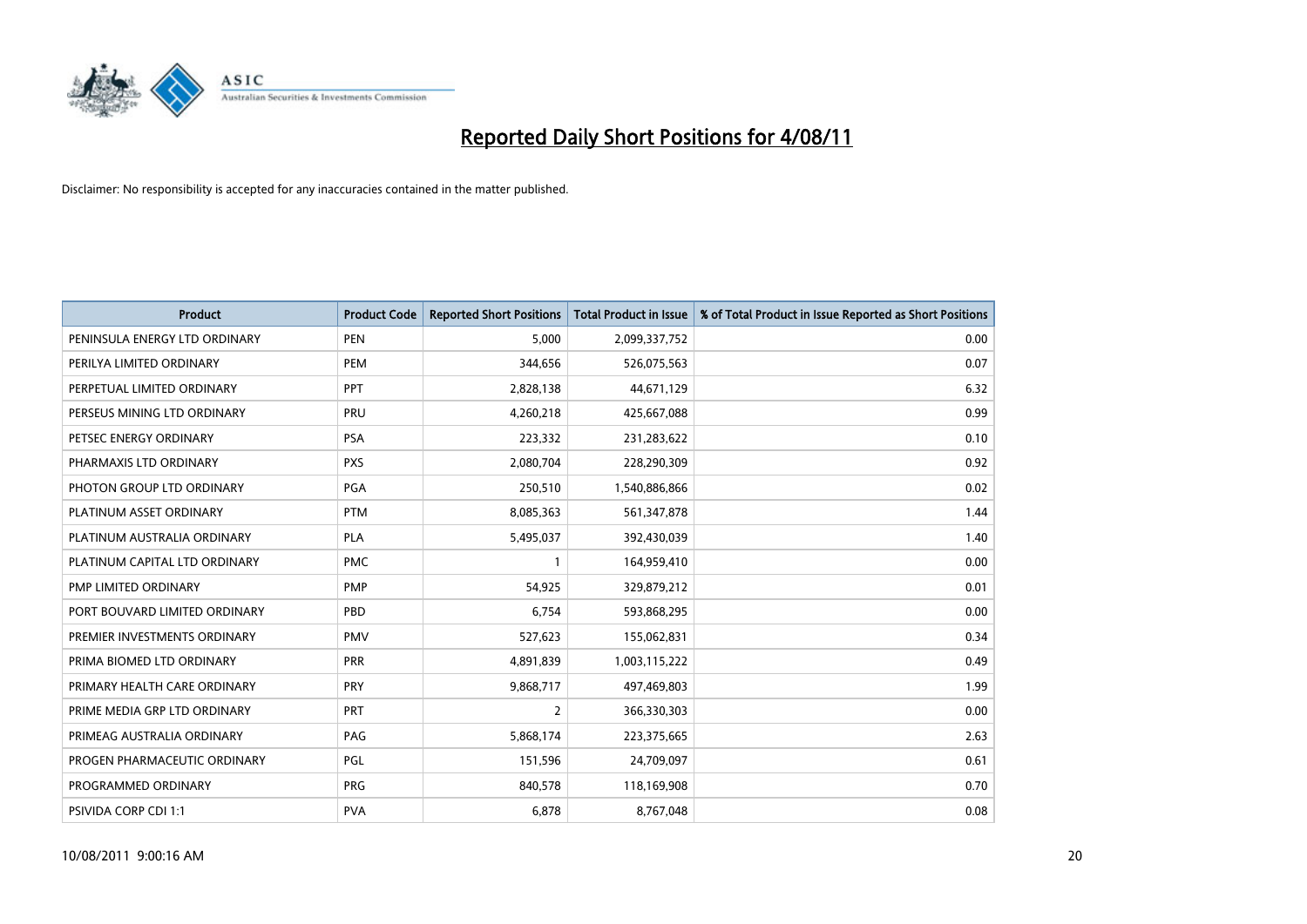

| <b>Product</b>                | <b>Product Code</b> | <b>Reported Short Positions</b> | <b>Total Product in Issue</b> | % of Total Product in Issue Reported as Short Positions |
|-------------------------------|---------------------|---------------------------------|-------------------------------|---------------------------------------------------------|
| PENINSULA ENERGY LTD ORDINARY | <b>PEN</b>          | 5,000                           | 2,099,337,752                 | 0.00                                                    |
| PERILYA LIMITED ORDINARY      | <b>PEM</b>          | 344,656                         | 526,075,563                   | 0.07                                                    |
| PERPETUAL LIMITED ORDINARY    | PPT                 | 2,828,138                       | 44,671,129                    | 6.32                                                    |
| PERSEUS MINING LTD ORDINARY   | PRU                 | 4,260,218                       | 425,667,088                   | 0.99                                                    |
| PETSEC ENERGY ORDINARY        | <b>PSA</b>          | 223,332                         | 231,283,622                   | 0.10                                                    |
| PHARMAXIS LTD ORDINARY        | <b>PXS</b>          | 2,080,704                       | 228,290,309                   | 0.92                                                    |
| PHOTON GROUP LTD ORDINARY     | <b>PGA</b>          | 250,510                         | 1,540,886,866                 | 0.02                                                    |
| PLATINUM ASSET ORDINARY       | <b>PTM</b>          | 8,085,363                       | 561,347,878                   | 1.44                                                    |
| PLATINUM AUSTRALIA ORDINARY   | PLA                 | 5,495,037                       | 392,430,039                   | 1.40                                                    |
| PLATINUM CAPITAL LTD ORDINARY | <b>PMC</b>          |                                 | 164,959,410                   | 0.00                                                    |
| PMP LIMITED ORDINARY          | <b>PMP</b>          | 54,925                          | 329,879,212                   | 0.01                                                    |
| PORT BOUVARD LIMITED ORDINARY | PBD                 | 6,754                           | 593,868,295                   | 0.00                                                    |
| PREMIER INVESTMENTS ORDINARY  | <b>PMV</b>          | 527,623                         | 155,062,831                   | 0.34                                                    |
| PRIMA BIOMED LTD ORDINARY     | <b>PRR</b>          | 4,891,839                       | 1,003,115,222                 | 0.49                                                    |
| PRIMARY HEALTH CARE ORDINARY  | PRY                 | 9,868,717                       | 497,469,803                   | 1.99                                                    |
| PRIME MEDIA GRP LTD ORDINARY  | PRT                 | 2                               | 366,330,303                   | 0.00                                                    |
| PRIMEAG AUSTRALIA ORDINARY    | PAG                 | 5,868,174                       | 223,375,665                   | 2.63                                                    |
| PROGEN PHARMACEUTIC ORDINARY  | PGL                 | 151,596                         | 24,709,097                    | 0.61                                                    |
| PROGRAMMED ORDINARY           | <b>PRG</b>          | 840,578                         | 118,169,908                   | 0.70                                                    |
| PSIVIDA CORP CDI 1:1          | <b>PVA</b>          | 6,878                           | 8,767,048                     | 0.08                                                    |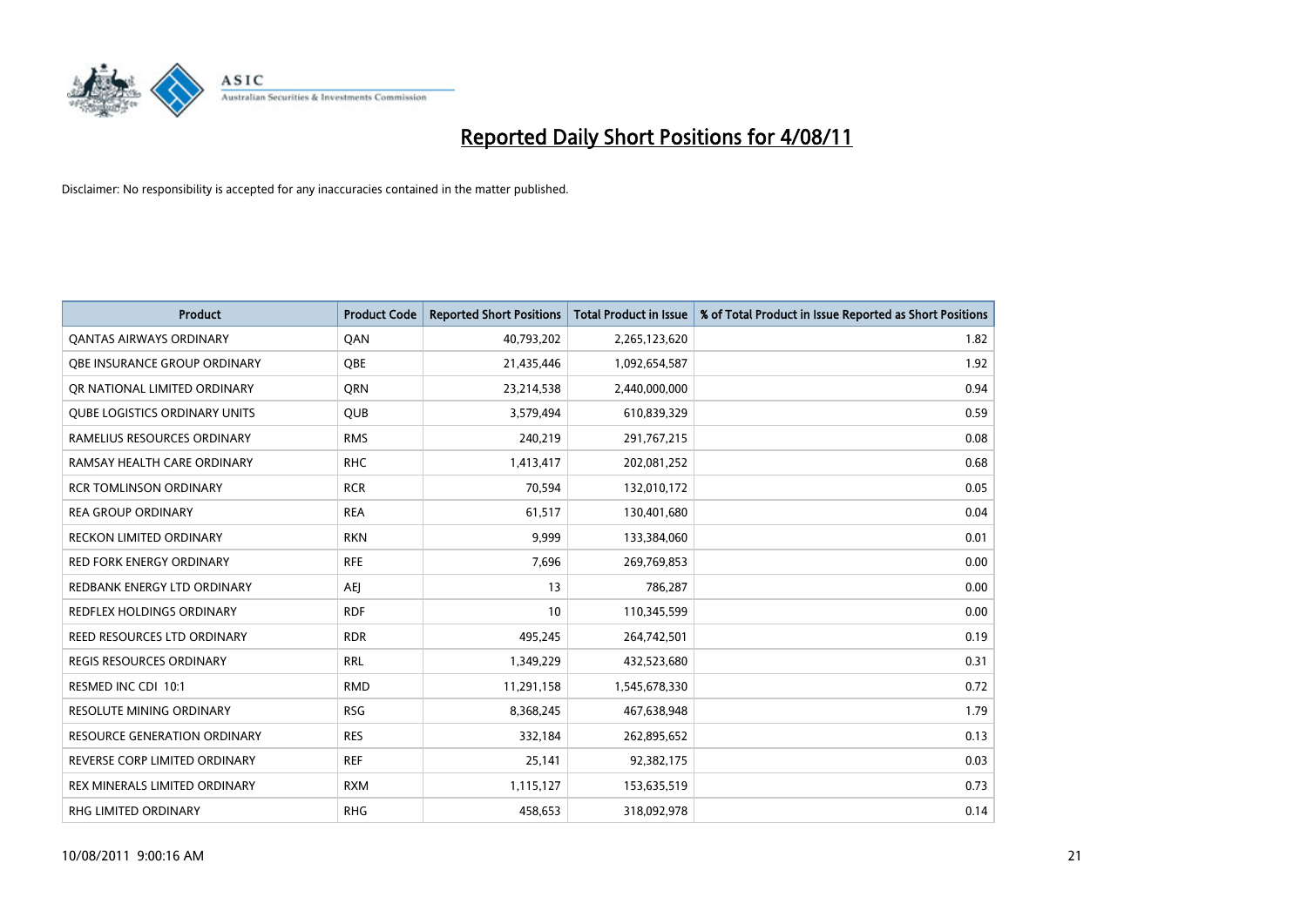

| <b>Product</b>                       | <b>Product Code</b> | <b>Reported Short Positions</b> | <b>Total Product in Issue</b> | % of Total Product in Issue Reported as Short Positions |
|--------------------------------------|---------------------|---------------------------------|-------------------------------|---------------------------------------------------------|
| <b>QANTAS AIRWAYS ORDINARY</b>       | QAN                 | 40,793,202                      | 2,265,123,620                 | 1.82                                                    |
| <b>OBE INSURANCE GROUP ORDINARY</b>  | <b>QBE</b>          | 21,435,446                      | 1,092,654,587                 | 1.92                                                    |
| OR NATIONAL LIMITED ORDINARY         | <b>ORN</b>          | 23,214,538                      | 2,440,000,000                 | 0.94                                                    |
| <b>QUBE LOGISTICS ORDINARY UNITS</b> | <b>QUB</b>          | 3,579,494                       | 610,839,329                   | 0.59                                                    |
| RAMELIUS RESOURCES ORDINARY          | <b>RMS</b>          | 240,219                         | 291,767,215                   | 0.08                                                    |
| RAMSAY HEALTH CARE ORDINARY          | <b>RHC</b>          | 1,413,417                       | 202,081,252                   | 0.68                                                    |
| <b>RCR TOMLINSON ORDINARY</b>        | <b>RCR</b>          | 70,594                          | 132,010,172                   | 0.05                                                    |
| <b>REA GROUP ORDINARY</b>            | <b>REA</b>          | 61,517                          | 130,401,680                   | 0.04                                                    |
| RECKON LIMITED ORDINARY              | <b>RKN</b>          | 9,999                           | 133,384,060                   | 0.01                                                    |
| <b>RED FORK ENERGY ORDINARY</b>      | <b>RFE</b>          | 7,696                           | 269,769,853                   | 0.00                                                    |
| REDBANK ENERGY LTD ORDINARY          | <b>AEI</b>          | 13                              | 786,287                       | 0.00                                                    |
| REDFLEX HOLDINGS ORDINARY            | <b>RDF</b>          | 10                              | 110,345,599                   | 0.00                                                    |
| REED RESOURCES LTD ORDINARY          | <b>RDR</b>          | 495,245                         | 264,742,501                   | 0.19                                                    |
| <b>REGIS RESOURCES ORDINARY</b>      | <b>RRL</b>          | 1,349,229                       | 432,523,680                   | 0.31                                                    |
| RESMED INC CDI 10:1                  | <b>RMD</b>          | 11,291,158                      | 1,545,678,330                 | 0.72                                                    |
| <b>RESOLUTE MINING ORDINARY</b>      | <b>RSG</b>          | 8,368,245                       | 467,638,948                   | 1.79                                                    |
| <b>RESOURCE GENERATION ORDINARY</b>  | <b>RES</b>          | 332,184                         | 262,895,652                   | 0.13                                                    |
| REVERSE CORP LIMITED ORDINARY        | <b>REF</b>          | 25,141                          | 92,382,175                    | 0.03                                                    |
| <b>REX MINERALS LIMITED ORDINARY</b> | <b>RXM</b>          | 1,115,127                       | 153,635,519                   | 0.73                                                    |
| <b>RHG LIMITED ORDINARY</b>          | <b>RHG</b>          | 458,653                         | 318,092,978                   | 0.14                                                    |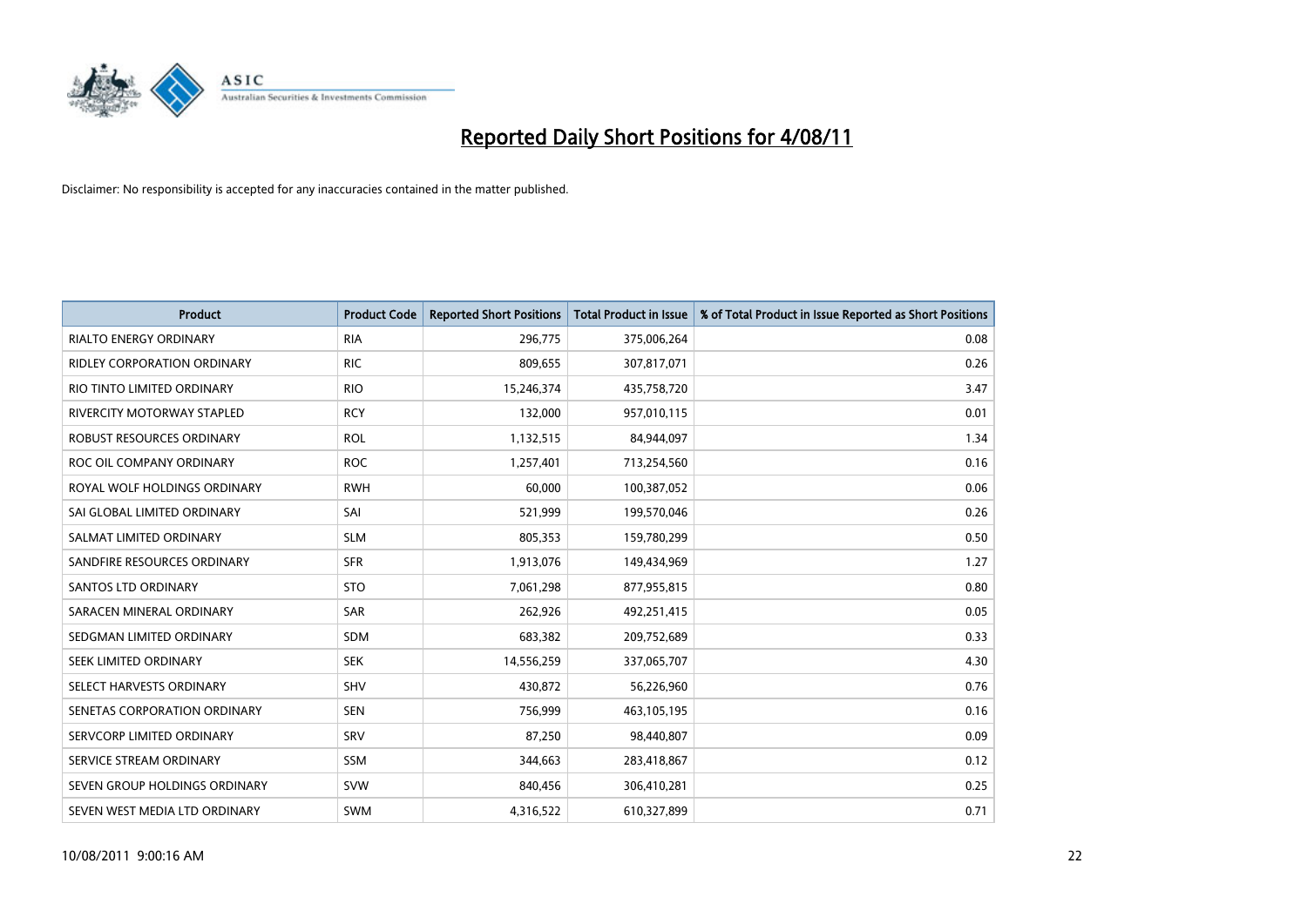

| <b>Product</b>                | <b>Product Code</b> | <b>Reported Short Positions</b> | <b>Total Product in Issue</b> | % of Total Product in Issue Reported as Short Positions |
|-------------------------------|---------------------|---------------------------------|-------------------------------|---------------------------------------------------------|
| <b>RIALTO ENERGY ORDINARY</b> | <b>RIA</b>          | 296,775                         | 375,006,264                   | 0.08                                                    |
| RIDLEY CORPORATION ORDINARY   | <b>RIC</b>          | 809,655                         | 307,817,071                   | 0.26                                                    |
| RIO TINTO LIMITED ORDINARY    | <b>RIO</b>          | 15,246,374                      | 435,758,720                   | 3.47                                                    |
| RIVERCITY MOTORWAY STAPLED    | <b>RCY</b>          | 132,000                         | 957,010,115                   | 0.01                                                    |
| ROBUST RESOURCES ORDINARY     | <b>ROL</b>          | 1,132,515                       | 84,944,097                    | 1.34                                                    |
| ROC OIL COMPANY ORDINARY      | <b>ROC</b>          | 1,257,401                       | 713,254,560                   | 0.16                                                    |
| ROYAL WOLF HOLDINGS ORDINARY  | <b>RWH</b>          | 60.000                          | 100,387,052                   | 0.06                                                    |
| SAI GLOBAL LIMITED ORDINARY   | SAI                 | 521,999                         | 199,570,046                   | 0.26                                                    |
| SALMAT LIMITED ORDINARY       | <b>SLM</b>          | 805,353                         | 159,780,299                   | 0.50                                                    |
| SANDFIRE RESOURCES ORDINARY   | <b>SFR</b>          | 1,913,076                       | 149,434,969                   | 1.27                                                    |
| SANTOS LTD ORDINARY           | <b>STO</b>          | 7,061,298                       | 877,955,815                   | 0.80                                                    |
| SARACEN MINERAL ORDINARY      | SAR                 | 262,926                         | 492,251,415                   | 0.05                                                    |
| SEDGMAN LIMITED ORDINARY      | <b>SDM</b>          | 683,382                         | 209,752,689                   | 0.33                                                    |
| SEEK LIMITED ORDINARY         | <b>SEK</b>          | 14,556,259                      | 337,065,707                   | 4.30                                                    |
| SELECT HARVESTS ORDINARY      | <b>SHV</b>          | 430,872                         | 56,226,960                    | 0.76                                                    |
| SENETAS CORPORATION ORDINARY  | <b>SEN</b>          | 756,999                         | 463,105,195                   | 0.16                                                    |
| SERVCORP LIMITED ORDINARY     | SRV                 | 87,250                          | 98,440,807                    | 0.09                                                    |
| SERVICE STREAM ORDINARY       | <b>SSM</b>          | 344,663                         | 283,418,867                   | 0.12                                                    |
| SEVEN GROUP HOLDINGS ORDINARY | <b>SVW</b>          | 840,456                         | 306,410,281                   | 0.25                                                    |
| SEVEN WEST MEDIA LTD ORDINARY | <b>SWM</b>          | 4,316,522                       | 610,327,899                   | 0.71                                                    |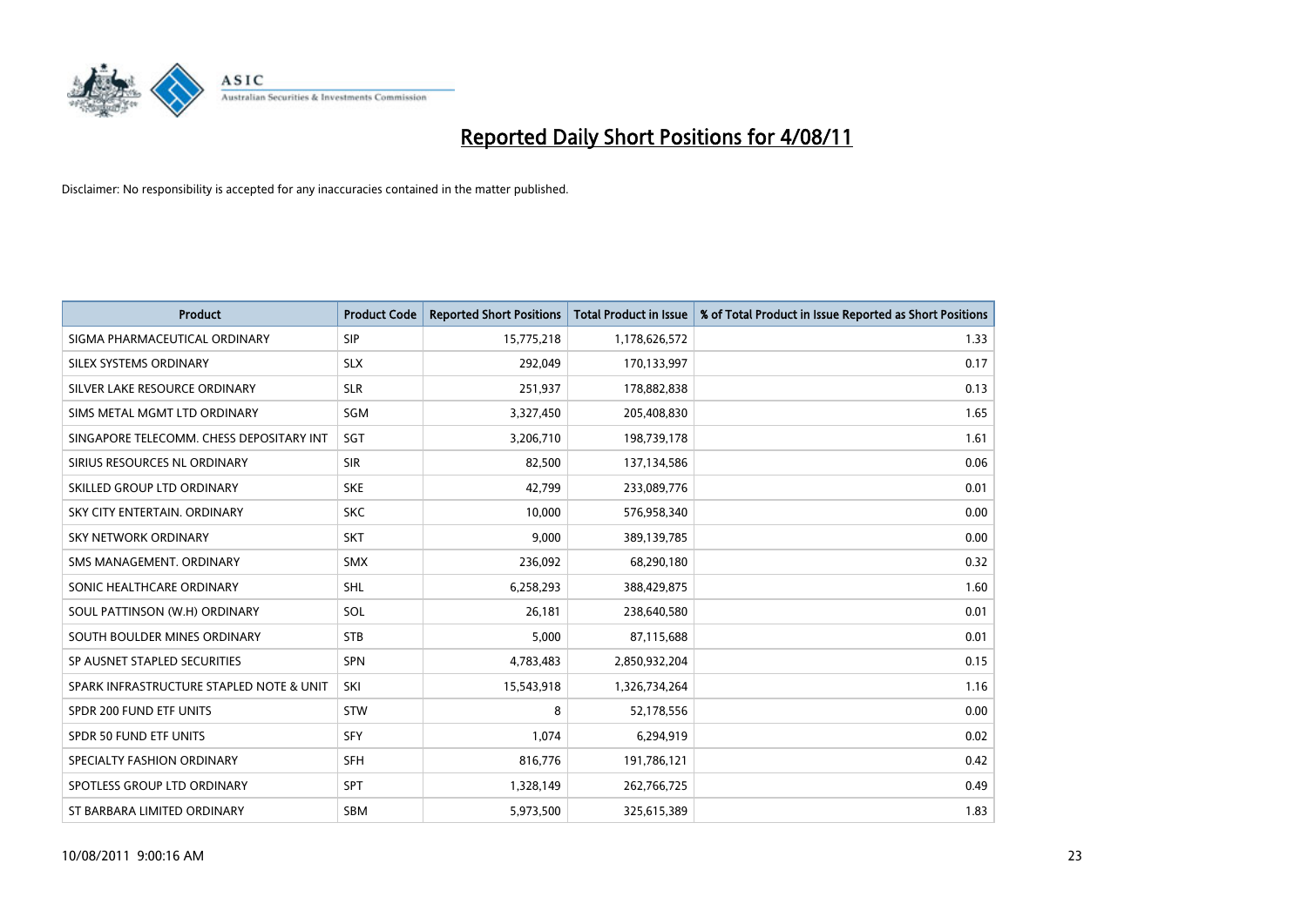

| <b>Product</b>                           | <b>Product Code</b> | <b>Reported Short Positions</b> | <b>Total Product in Issue</b> | % of Total Product in Issue Reported as Short Positions |
|------------------------------------------|---------------------|---------------------------------|-------------------------------|---------------------------------------------------------|
| SIGMA PHARMACEUTICAL ORDINARY            | SIP                 | 15,775,218                      | 1,178,626,572                 | 1.33                                                    |
| SILEX SYSTEMS ORDINARY                   | <b>SLX</b>          | 292,049                         | 170,133,997                   | 0.17                                                    |
| SILVER LAKE RESOURCE ORDINARY            | <b>SLR</b>          | 251,937                         | 178,882,838                   | 0.13                                                    |
| SIMS METAL MGMT LTD ORDINARY             | SGM                 | 3,327,450                       | 205,408,830                   | 1.65                                                    |
| SINGAPORE TELECOMM. CHESS DEPOSITARY INT | SGT                 | 3,206,710                       | 198,739,178                   | 1.61                                                    |
| SIRIUS RESOURCES NL ORDINARY             | <b>SIR</b>          | 82,500                          | 137,134,586                   | 0.06                                                    |
| SKILLED GROUP LTD ORDINARY               | <b>SKE</b>          | 42,799                          | 233,089,776                   | 0.01                                                    |
| SKY CITY ENTERTAIN, ORDINARY             | <b>SKC</b>          | 10.000                          | 576,958,340                   | 0.00                                                    |
| <b>SKY NETWORK ORDINARY</b>              | <b>SKT</b>          | 9,000                           | 389,139,785                   | 0.00                                                    |
| SMS MANAGEMENT, ORDINARY                 | <b>SMX</b>          | 236,092                         | 68,290,180                    | 0.32                                                    |
| SONIC HEALTHCARE ORDINARY                | <b>SHL</b>          | 6,258,293                       | 388,429,875                   | 1.60                                                    |
| SOUL PATTINSON (W.H) ORDINARY            | SOL                 | 26,181                          | 238,640,580                   | 0.01                                                    |
| SOUTH BOULDER MINES ORDINARY             | <b>STB</b>          | 5,000                           | 87,115,688                    | 0.01                                                    |
| SP AUSNET STAPLED SECURITIES             | SPN                 | 4,783,483                       | 2,850,932,204                 | 0.15                                                    |
| SPARK INFRASTRUCTURE STAPLED NOTE & UNIT | SKI                 | 15,543,918                      | 1,326,734,264                 | 1.16                                                    |
| SPDR 200 FUND ETF UNITS                  | <b>STW</b>          | 8                               | 52,178,556                    | 0.00                                                    |
| <b>SPDR 50 FUND ETF UNITS</b>            | <b>SFY</b>          | 1,074                           | 6,294,919                     | 0.02                                                    |
| SPECIALTY FASHION ORDINARY               | <b>SFH</b>          | 816,776                         | 191,786,121                   | 0.42                                                    |
| SPOTLESS GROUP LTD ORDINARY              | <b>SPT</b>          | 1,328,149                       | 262,766,725                   | 0.49                                                    |
| ST BARBARA LIMITED ORDINARY              | <b>SBM</b>          | 5,973,500                       | 325,615,389                   | 1.83                                                    |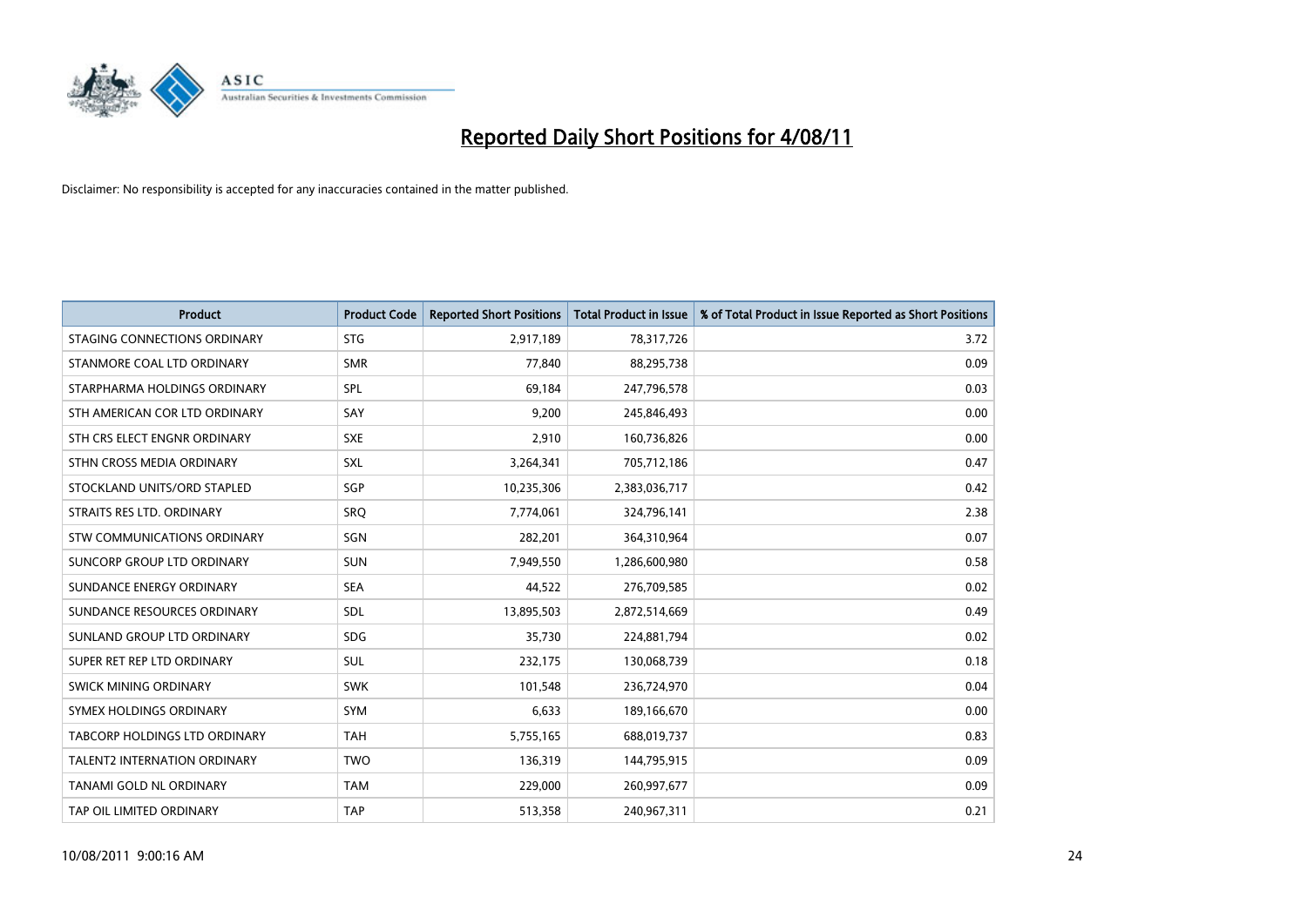

| <b>Product</b>                | <b>Product Code</b> | <b>Reported Short Positions</b> | <b>Total Product in Issue</b> | % of Total Product in Issue Reported as Short Positions |
|-------------------------------|---------------------|---------------------------------|-------------------------------|---------------------------------------------------------|
| STAGING CONNECTIONS ORDINARY  | <b>STG</b>          | 2,917,189                       | 78,317,726                    | 3.72                                                    |
| STANMORE COAL LTD ORDINARY    | <b>SMR</b>          | 77.840                          | 88,295,738                    | 0.09                                                    |
| STARPHARMA HOLDINGS ORDINARY  | SPL                 | 69,184                          | 247,796,578                   | 0.03                                                    |
| STH AMERICAN COR LTD ORDINARY | SAY                 | 9,200                           | 245,846,493                   | 0.00                                                    |
| STH CRS ELECT ENGNR ORDINARY  | <b>SXE</b>          | 2,910                           | 160,736,826                   | 0.00                                                    |
| STHN CROSS MEDIA ORDINARY     | SXL                 | 3,264,341                       | 705,712,186                   | 0.47                                                    |
| STOCKLAND UNITS/ORD STAPLED   | SGP                 | 10,235,306                      | 2,383,036,717                 | 0.42                                                    |
| STRAITS RES LTD. ORDINARY     | <b>SRO</b>          | 7,774,061                       | 324,796,141                   | 2.38                                                    |
| STW COMMUNICATIONS ORDINARY   | SGN                 | 282,201                         | 364,310,964                   | 0.07                                                    |
| SUNCORP GROUP LTD ORDINARY    | <b>SUN</b>          | 7,949,550                       | 1,286,600,980                 | 0.58                                                    |
| SUNDANCE ENERGY ORDINARY      | <b>SEA</b>          | 44,522                          | 276,709,585                   | 0.02                                                    |
| SUNDANCE RESOURCES ORDINARY   | <b>SDL</b>          | 13,895,503                      | 2,872,514,669                 | 0.49                                                    |
| SUNLAND GROUP LTD ORDINARY    | <b>SDG</b>          | 35.730                          | 224,881,794                   | 0.02                                                    |
| SUPER RET REP LTD ORDINARY    | <b>SUL</b>          | 232,175                         | 130,068,739                   | 0.18                                                    |
| <b>SWICK MINING ORDINARY</b>  | <b>SWK</b>          | 101,548                         | 236,724,970                   | 0.04                                                    |
| SYMEX HOLDINGS ORDINARY       | <b>SYM</b>          | 6,633                           | 189,166,670                   | 0.00                                                    |
| TABCORP HOLDINGS LTD ORDINARY | <b>TAH</b>          | 5,755,165                       | 688,019,737                   | 0.83                                                    |
| TALENT2 INTERNATION ORDINARY  | <b>TWO</b>          | 136,319                         | 144,795,915                   | 0.09                                                    |
| TANAMI GOLD NL ORDINARY       | <b>TAM</b>          | 229,000                         | 260,997,677                   | 0.09                                                    |
| TAP OIL LIMITED ORDINARY      | <b>TAP</b>          | 513,358                         | 240,967,311                   | 0.21                                                    |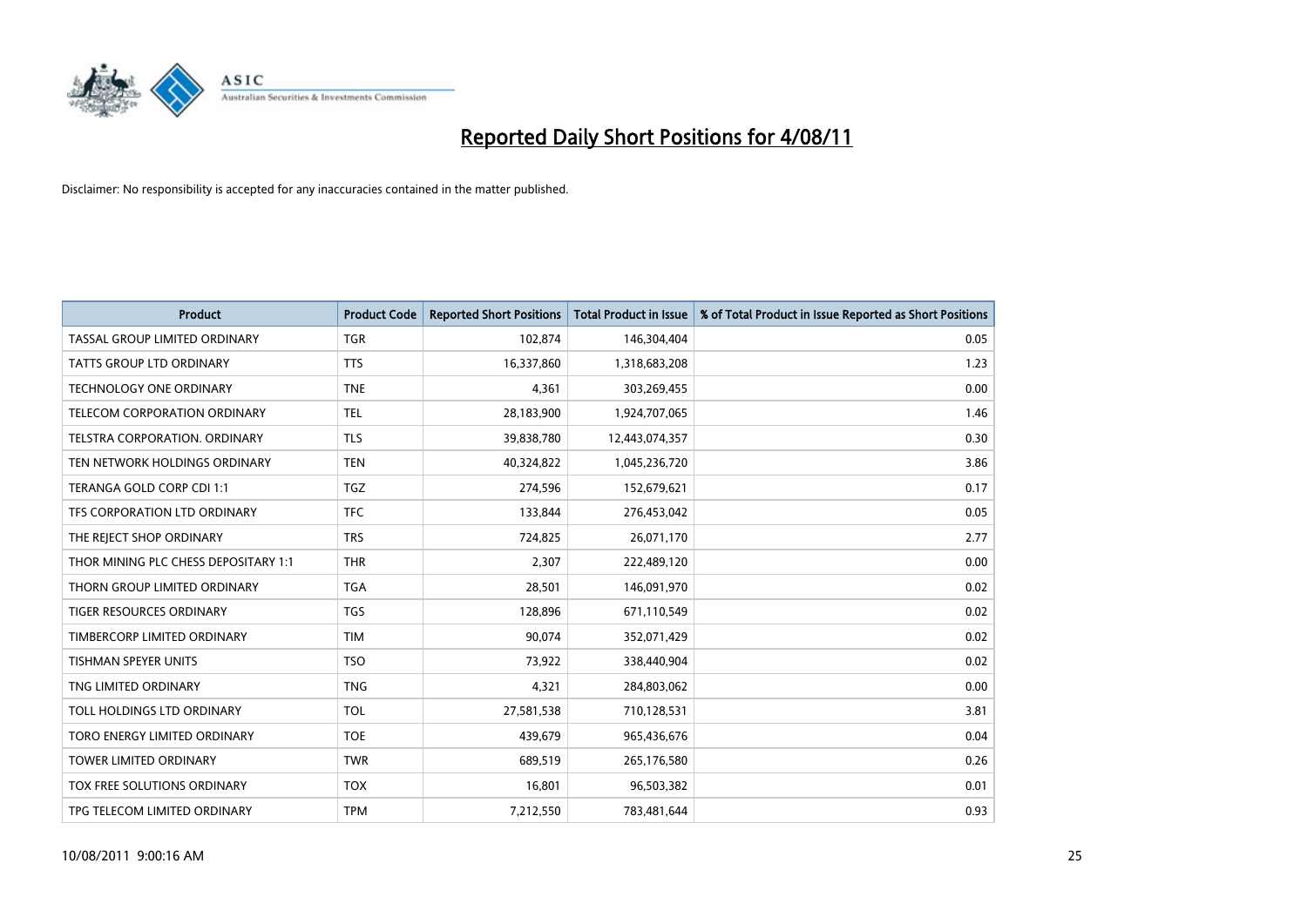

| <b>Product</b>                       | <b>Product Code</b> | <b>Reported Short Positions</b> | <b>Total Product in Issue</b> | % of Total Product in Issue Reported as Short Positions |
|--------------------------------------|---------------------|---------------------------------|-------------------------------|---------------------------------------------------------|
| TASSAL GROUP LIMITED ORDINARY        | <b>TGR</b>          | 102,874                         | 146,304,404                   | 0.05                                                    |
| TATTS GROUP LTD ORDINARY             | <b>TTS</b>          | 16,337,860                      | 1,318,683,208                 | 1.23                                                    |
| <b>TECHNOLOGY ONE ORDINARY</b>       | <b>TNE</b>          | 4,361                           | 303,269,455                   | 0.00                                                    |
| TELECOM CORPORATION ORDINARY         | <b>TEL</b>          | 28,183,900                      | 1,924,707,065                 | 1.46                                                    |
| <b>TELSTRA CORPORATION, ORDINARY</b> | <b>TLS</b>          | 39,838,780                      | 12,443,074,357                | 0.30                                                    |
| TEN NETWORK HOLDINGS ORDINARY        | <b>TEN</b>          | 40,324,822                      | 1,045,236,720                 | 3.86                                                    |
| TERANGA GOLD CORP CDI 1:1            | <b>TGZ</b>          | 274,596                         | 152,679,621                   | 0.17                                                    |
| TFS CORPORATION LTD ORDINARY         | <b>TFC</b>          | 133,844                         | 276,453,042                   | 0.05                                                    |
| THE REJECT SHOP ORDINARY             | <b>TRS</b>          | 724,825                         | 26,071,170                    | 2.77                                                    |
| THOR MINING PLC CHESS DEPOSITARY 1:1 | <b>THR</b>          | 2,307                           | 222,489,120                   | 0.00                                                    |
| THORN GROUP LIMITED ORDINARY         | <b>TGA</b>          | 28,501                          | 146,091,970                   | 0.02                                                    |
| <b>TIGER RESOURCES ORDINARY</b>      | <b>TGS</b>          | 128,896                         | 671,110,549                   | 0.02                                                    |
| TIMBERCORP LIMITED ORDINARY          | <b>TIM</b>          | 90.074                          | 352,071,429                   | 0.02                                                    |
| <b>TISHMAN SPEYER UNITS</b>          | <b>TSO</b>          | 73,922                          | 338,440,904                   | 0.02                                                    |
| TNG LIMITED ORDINARY                 | <b>TNG</b>          | 4,321                           | 284,803,062                   | 0.00                                                    |
| TOLL HOLDINGS LTD ORDINARY           | <b>TOL</b>          | 27,581,538                      | 710,128,531                   | 3.81                                                    |
| TORO ENERGY LIMITED ORDINARY         | <b>TOE</b>          | 439,679                         | 965,436,676                   | 0.04                                                    |
| TOWER LIMITED ORDINARY               | <b>TWR</b>          | 689,519                         | 265,176,580                   | 0.26                                                    |
| <b>TOX FREE SOLUTIONS ORDINARY</b>   | <b>TOX</b>          | 16,801                          | 96,503,382                    | 0.01                                                    |
| TPG TELECOM LIMITED ORDINARY         | <b>TPM</b>          | 7,212,550                       | 783,481,644                   | 0.93                                                    |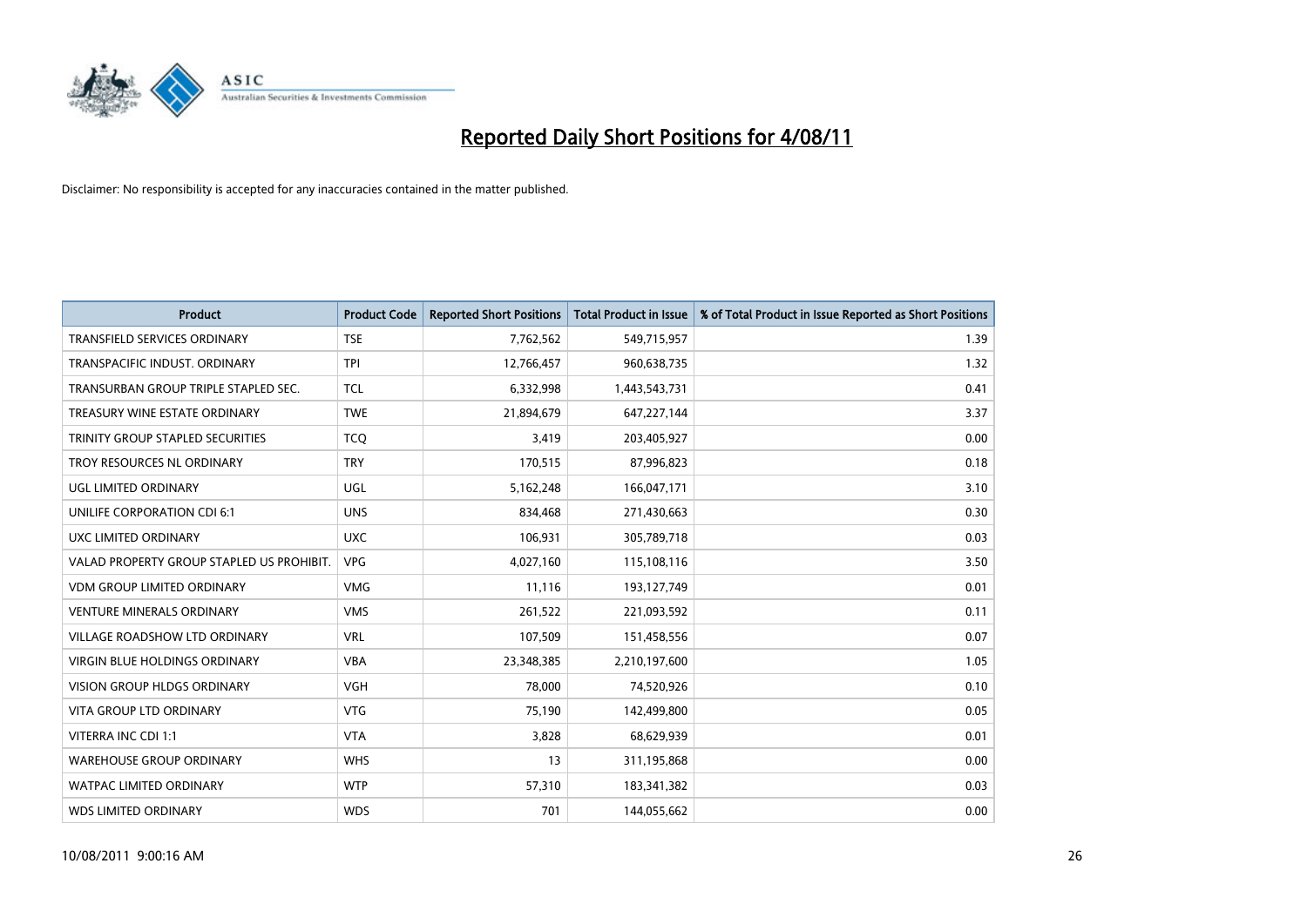

| <b>Product</b>                            | <b>Product Code</b> | <b>Reported Short Positions</b> | <b>Total Product in Issue</b> | % of Total Product in Issue Reported as Short Positions |
|-------------------------------------------|---------------------|---------------------------------|-------------------------------|---------------------------------------------------------|
| <b>TRANSFIELD SERVICES ORDINARY</b>       | <b>TSE</b>          | 7,762,562                       | 549,715,957                   | 1.39                                                    |
| TRANSPACIFIC INDUST. ORDINARY             | <b>TPI</b>          | 12,766,457                      | 960,638,735                   | 1.32                                                    |
| TRANSURBAN GROUP TRIPLE STAPLED SEC.      | <b>TCL</b>          | 6,332,998                       | 1,443,543,731                 | 0.41                                                    |
| TREASURY WINE ESTATE ORDINARY             | <b>TWE</b>          | 21,894,679                      | 647,227,144                   | 3.37                                                    |
| TRINITY GROUP STAPLED SECURITIES          | <b>TCO</b>          | 3,419                           | 203,405,927                   | 0.00                                                    |
| TROY RESOURCES NL ORDINARY                | <b>TRY</b>          | 170,515                         | 87,996,823                    | 0.18                                                    |
| <b>UGL LIMITED ORDINARY</b>               | UGL                 | 5,162,248                       | 166,047,171                   | 3.10                                                    |
| UNILIFE CORPORATION CDI 6:1               | <b>UNS</b>          | 834,468                         | 271,430,663                   | 0.30                                                    |
| UXC LIMITED ORDINARY                      | <b>UXC</b>          | 106,931                         | 305,789,718                   | 0.03                                                    |
| VALAD PROPERTY GROUP STAPLED US PROHIBIT. | <b>VPG</b>          | 4,027,160                       | 115,108,116                   | 3.50                                                    |
| VDM GROUP LIMITED ORDINARY                | <b>VMG</b>          | 11,116                          | 193,127,749                   | 0.01                                                    |
| <b>VENTURE MINERALS ORDINARY</b>          | <b>VMS</b>          | 261,522                         | 221,093,592                   | 0.11                                                    |
| <b>VILLAGE ROADSHOW LTD ORDINARY</b>      | <b>VRL</b>          | 107,509                         | 151,458,556                   | 0.07                                                    |
| <b>VIRGIN BLUE HOLDINGS ORDINARY</b>      | <b>VBA</b>          | 23,348,385                      | 2,210,197,600                 | 1.05                                                    |
| <b>VISION GROUP HLDGS ORDINARY</b>        | <b>VGH</b>          | 78,000                          | 74,520,926                    | 0.10                                                    |
| <b>VITA GROUP LTD ORDINARY</b>            | <b>VTG</b>          | 75,190                          | 142,499,800                   | 0.05                                                    |
| VITERRA INC CDI 1:1                       | <b>VTA</b>          | 3,828                           | 68,629,939                    | 0.01                                                    |
| <b>WAREHOUSE GROUP ORDINARY</b>           | <b>WHS</b>          | 13                              | 311,195,868                   | 0.00                                                    |
| <b>WATPAC LIMITED ORDINARY</b>            | <b>WTP</b>          | 57,310                          | 183,341,382                   | 0.03                                                    |
| <b>WDS LIMITED ORDINARY</b>               | <b>WDS</b>          | 701                             | 144,055,662                   | 0.00                                                    |